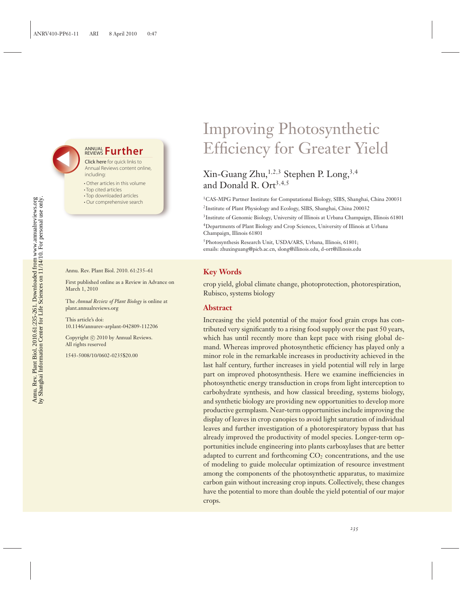## **ANNUAL Further**

Click here for quick links to Annual Reviews content online, including:

- Other articles in this volume
- Top cited articles
- Top downloaded articles
- Our comprehensive search

Annu. Rev. Plant Biol. 2010. 61:235–61

First published online as a Review in Advance on March 1, 2010

The *Annual Review of Plant Biology* is online at plant.annualreviews.org

This article's doi: 10.1146/annurev-arplant-042809-112206

Copyright © 2010 by Annual Reviews. All rights reserved

1543-5008/10/0602-0235\$20.00

# Improving Photosynthetic Efficiency for Greater Yield

## $Xin-Guang Zhu, <sup>1,2,3</sup> Stephen P. Long, <sup>3,4</sup>$ and Donald R. Ort<sup>3,4,5</sup>

1CAS-MPG Partner Institute for Computational Biology, SIBS, Shanghai, China 200031 2Institute of Plant Physiology and Ecology, SIBS, Shanghai, China 200032

3Institute of Genomic Biology, University of Illinois at Urbana Champaign, Illinois 61801

4Departments of Plant Biology and Crop Sciences, University of Illinois at Urbana Champaign, Illinois 61801

5Photosynthesis Research Unit, USDA/ARS, Urbana, Illinois, 61801; emails: zhuxinguang@picb.ac.cn, slong@illinois.edu, d-ort@illinois.edu

## **Key Words**

crop yield, global climate change, photoprotection, photorespiration, Rubisco, systems biology

#### **Abstract**

Increasing the yield potential of the major food grain crops has contributed very significantly to a rising food supply over the past 50 years, which has until recently more than kept pace with rising global demand. Whereas improved photosynthetic efficiency has played only a minor role in the remarkable increases in productivity achieved in the last half century, further increases in yield potential will rely in large part on improved photosynthesis. Here we examine inefficiencies in photosynthetic energy transduction in crops from light interception to carbohydrate synthesis, and how classical breeding, systems biology, and synthetic biology are providing new opportunities to develop more productive germplasm. Near-term opportunities include improving the display of leaves in crop canopies to avoid light saturation of individual leaves and further investigation of a photorespiratory bypass that has already improved the productivity of model species. Longer-term opportunities include engineering into plants carboxylases that are better adapted to current and forthcoming  $CO<sub>2</sub>$  concentrations, and the use of modeling to guide molecular optimization of resource investment among the components of the photosynthetic apparatus, to maximize carbon gain without increasing crop inputs. Collectively, these changes have the potential to more than double the yield potential of our major crops.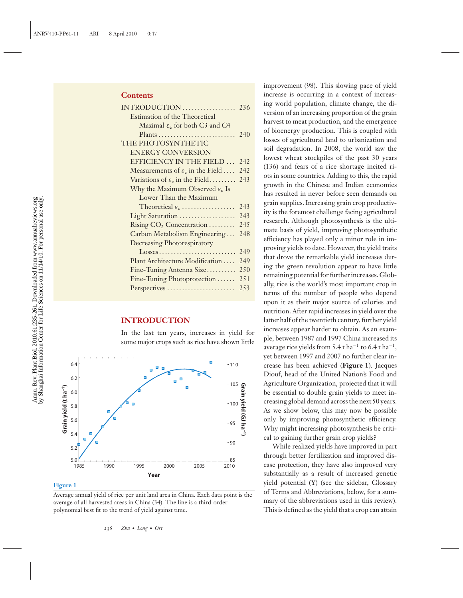#### **Contents**

| <b>Estimation of the Theoretical</b>         |     |
|----------------------------------------------|-----|
| Maximal $\varepsilon_c$ for both C3 and C4   |     |
|                                              |     |
| THE PHOTOSYNTHETIC                           |     |
| <b>ENERGY CONVERSION</b>                     |     |
| EFFICIENCY IN THE FIELD                      | 242 |
| Measurements of $\varepsilon_c$ in the Field | 242 |
| Variations of $\varepsilon_c$ in the Field   | 243 |
| Why the Maximum Observed $\varepsilon_c$ Is  |     |
| Lower Than the Maximum                       |     |
| Theoretical $\varepsilon_{\rm c}$            | 243 |
| Light Saturation                             | 243 |
| Rising $CO2$ Concentration                   | 245 |
| Carbon Metabolism Engineering                | 248 |
| <b>Decreasing Photorespiratory</b>           |     |
| Losses                                       | 249 |
| Plant Architecture Modification              | 249 |
| Fine-Tuning Antenna Size                     | 250 |
| Fine-Tuning Photoprotection                  | 251 |
| Perspectives                                 | 253 |

### **INTRODUCTION**

In the last ten years, increases in yield for some major crops such as rice have shown little



#### **Figure 1**

Average annual yield of rice per unit land area in China. Each data point is the average of all harvested areas in China (34). The line is a third-order polynomial best fit to the trend of yield against time.

improvement (98). This slowing pace of yield increase is occurring in a context of increasing world population, climate change, the diversion of an increasing proportion of the grain harvest to meat production, and the emergence of bioenergy production. This is coupled with losses of agricultural land to urbanization and soil degradation. In 2008, the world saw the lowest wheat stockpiles of the past 30 years (136) and fears of a rice shortage incited riots in some countries. Adding to this, the rapid growth in the Chinese and Indian economies has resulted in never before seen demands on grain supplies. Increasing grain crop productivity is the foremost challenge facing agricultural research. Although photosynthesis is the ultimate basis of yield, improving photosynthetic efficiency has played only a minor role in improving yields to date. However, the yield traits that drove the remarkable yield increases during the green revolution appear to have little remaining potential for further increases. Globally, rice is the world's most important crop in terms of the number of people who depend upon it as their major source of calories and nutrition. After rapid increases in yield over the latter half of the twentieth century, further yield increases appear harder to obtain. As an example, between 1987 and 1997 China increased its average rice yields from 5.4 t ha<sup>-1</sup> to 6.4 t ha<sup>-1</sup>, yet between 1997 and 2007 no further clear increase has been achieved (**Figure 1**). Jacques Diouf, head of the United Nation's Food and Agriculture Organization, projected that it will be essential to double grain yields to meet increasing global demand across the next 50 years. As we show below, this may now be possible only by improving photosynthetic efficiency. Why might increasing photosynthesis be critical to gaining further grain crop yields?

While realized yields have improved in part through better fertilization and improved disease protection, they have also improved very substantially as a result of increased genetic yield potential (Y) (see the sidebar, Glossary of Terms and Abbreviations, below, for a summary of the abbreviations used in this review). This is defined as the yield that a crop can attain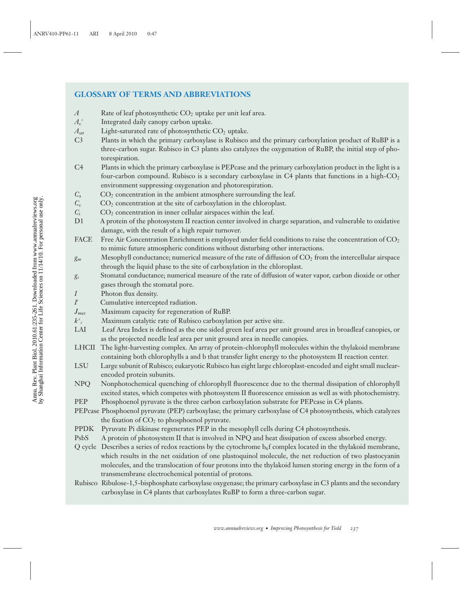## **GLOSSARY OF TERMS AND ABBREVIATIONS**

- *A* Rate of leaf photosynthetic CO<sub>2</sub> uptake per unit leaf area.
- $A_{\rm c}$ <sup>'</sup> Integrated daily canopy carbon uptake.
- $A_{\text{sat}}$  Light-saturated rate of photosynthetic  $CO_2$  uptake.
- C3 Plants in which the primary carboxylase is Rubisco and the primary carboxylation product of RuBP is a three-carbon sugar. Rubisco in C3 plants also catalyzes the oxygenation of RuBP, the initial step of photorespiration.
- C4 Plants in which the primary carboxylase is PEPcase and the primary carboxylation product in the light is a four-carbon compound. Rubisco is a secondary carboxylase in C4 plants that functions in a high- $CO<sub>2</sub>$ environment suppressing oxygenation and photorespiration.
- $C_a$  CO<sub>2</sub> concentration in the ambient atmosphere surrounding the leaf.
- *C<sub>c</sub>* CO<sub>2</sub> concentration at the site of carboxylation in the chloroplast.
- $C_i$   $CO_2$  concentration in inner cellular airspaces within the leaf.
- D1 A protein of the photosystem II reaction center involved in charge separation, and vulnerable to oxidative damage, with the result of a high repair turnover.
- FACE Free Air Concentration Enrichment is employed under field conditions to raise the concentration of  $CO<sub>2</sub>$ to mimic future atmospheric conditions without disturbing other interactions.
- *g<sub>m</sub>* Mesophyll conductance; numerical measure of the rate of diffusion of  $CO_2$  from the intercellular airspace through the liquid phase to the site of carboxylation in the chloroplast.
- *gs* Stomatal conductance; numerical measure of the rate of diffusion of water vapor, carbon dioxide or other gases through the stomatal pore.
- *I* Photon flux density.
- *I*<sup> $\prime$ </sup> Cumulative intercepted radiation.
- *Jmax* Maximum capacity for regeneration of RuBP.
- $k^c$ *<sup>c</sup>* Maximum catalytic rate of Rubisco carboxylation per active site.
- LAI Leaf Area Index is defined as the one sided green leaf area per unit ground area in broadleaf canopies, or as the projected needle leaf area per unit ground area in needle canopies.
- LHCII The light-harvesting complex. An array of protein-chlorophyll molecules within the thylakoid membrane containing both chlorophylls a and b that transfer light energy to the photosystem II reaction center.
- LSU Large subunit of Rubisco; eukaryotic Rubisco has eight large chloroplast-encoded and eight small nuclearencoded protein subunits.
- NPQ Nonphotochemical quenching of chlorophyll fluorescence due to the thermal dissipation of chlorophyll excited states, which competes with photosystem II fluorescence emission as well as with photochemistry.
- PEP Phosphoenol pyruvate is the three carbon carboxylation substrate for PEPcase in C4 plants.
- PEPcase Phosphoenol pyruvate (PEP) carboxylase; the primary carboxylase of C4 photosynthesis, which catalyzes the fixation of  $CO<sub>2</sub>$  to phosphoenol pyruvate.
- PPDK Pyruvate Pi dikinase regenerates PEP in the mesophyll cells during C4 photosynthesis.
- PsbS A protein of photosystem II that is involved in NPQ and heat dissipation of excess absorbed energy.
- Q cycle Describes a series of redox reactions by the cytochrome  $b_0f$  complex located in the thylakoid membrane, which results in the net oxidation of one plastoquinol molecule, the net reduction of two plastocyanin molecules, and the translocation of four protons into the thylakoid lumen storing energy in the form of a transmembrane electrochemical potential of protons.
- Rubisco Ribulose-1,5-bisphosphate carboxylase oxygenase; the primary carboxylase in C3 plants and the secondary carboxylase in C4 plants that carboxylates RuBP to form a three-carbon sugar.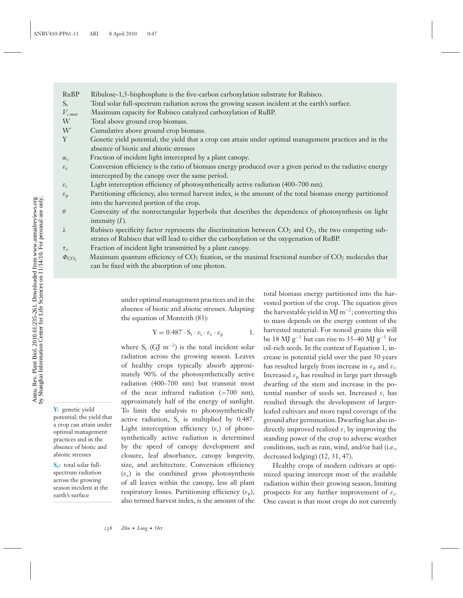- RuBP Ribulose-1,5-bisphosphate is the five-carbon carboxylation substrate for Rubisco.
- $S_t$  Total solar full-spectrum radiation across the growing season incident at the earth's surface.
- *Vc*,*max* Maximum capacity for Rubisco catalyzed carboxylation of RuBP.
- Total above ground crop biomass.
- $W'$ Cumulative above ground crop biomass.
- Y Genetic yield potential; the yield that a crop can attain under optimal management practices and in the absence of biotic and abiotic stresses
- $\alpha_c$  Fraction of incident light intercepted by a plant canopy.
- $\varepsilon_c$  Conversion efficiency is the ratio of biomass energy produced over a given period to the radiative energy intercepted by the canopy over the same period.
- $\varepsilon_i$  Light interception efficiency of photosynthetically active radiation (400–700 nm).
- $\varepsilon_p$  Partitioning efficiency, also termed harvest index, is the amount of the total biomass energy partitioned into the harvested portion of the crop.
- $\theta$  Convexity of the nonrectangular hyperbola that describes the dependence of photosynthesis on light intensity (*I*).
- $\lambda$  Rubisco specificity factor represents the discrimination between  $CO_2$  and  $O_2$ , the two competing substrates of Rubisco that will lead to either the carboxylation or the oxygenation of RuBP.
- $\tau_c$  Fraction of incident light transmitted by a plant canopy.
- $\Phi_{\text{CO}}$ , Maximum quantum efficiency of CO<sub>2</sub> fixation, or the maximal fractional number of CO<sub>2</sub> molecules that can be fixed with the absorption of one photon.

under optimal management practices and in the absence of biotic and abiotic stresses. Adapting the equation of Monteith (83):

$$
Y = 0.487 \cdot S_t \cdot \varepsilon_i \cdot \varepsilon_c \cdot \varepsilon_p \qquad \qquad 1.
$$

where  $S_t$  (GJ m<sup>-2</sup>) is the total incident solar radiation across the growing season. Leaves of healthy crops typically absorb approximately 90% of the photosynthetically active radiation (400–700 nm) but transmit most of the near infrared radiation (>700 nm), approximately half of the energy of sunlight. To limit the analysis to photosynthetically active radiation,  $S_t$  is multiplied by 0.487. Light interception efficiency  $(\varepsilon_i)$  of photosynthetically active radiation is determined by the speed of canopy development and closure, leaf absorbance, canopy longevity, size, and architecture. Conversion efficiency  $(\varepsilon_c)$  is the combined gross photosynthesis of all leaves within the canopy, less all plant respiratory losses. Partitioning efficiency  $(\varepsilon_p)$ , also termed harvest index, is the amount of the

total biomass energy partitioned into the harvested portion of the crop. The equation gives the harvestable yield in MJ  $m^{-2}$ ; converting this to mass depends on the energy content of the harvested material. For nonoil grains this will be 18 MJ g<sup>-1</sup> but can rise to 35–40 MJ g<sup>-1</sup> for oil-rich seeds. In the context of Equation 1, increase in potential yield over the past 50 years has resulted largely from increase in  $\varepsilon_p$  and  $\varepsilon_i$ . Increased  $\varepsilon_p$  has resulted in large part through dwarfing of the stem and increase in the potential number of seeds set. Increased  $\varepsilon_i$  has resulted through the development of largerleafed cultivars and more rapid coverage of the ground after germination. Dwarfing has also indirectly improved realized  $\varepsilon_i$  by improving the standing power of the crop to adverse weather conditions, such as rain, wind, and/or hail (i.e., decreased lodging) (12, 31, 47).

Healthy crops of modern cultivars at optimized spacing intercept most of the available radiation within their growing season, limiting prospects for any further improvement of  $\varepsilon_i$ . One caveat is that most crops do not currently

**Y:** genetic yield potential; the yield that a crop can attain under optimal management practices and in the absence of biotic and abiotic stresses

**S<sub>t</sub>:** total solar fullspectrum radiation across the growing season incident at the earth's surface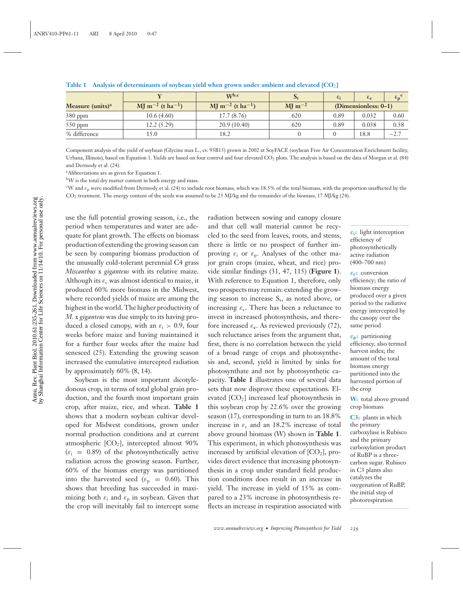**Table 1 Analysis of determinants of soybean yield when grown under ambient and elevated [CO**2**]**

|                              |                                          | $W^{b,c}$                                      | $\mathbf{D}_1$                | $\varepsilon_i$         | $\epsilon_{c}$ | $\epsilon_{\bf p}$ |
|------------------------------|------------------------------------------|------------------------------------------------|-------------------------------|-------------------------|----------------|--------------------|
| Measure (units) <sup>a</sup> | $\text{MI m}^{-2}$ (t ha <sup>-1</sup> ) | $\rm{M}$ m <sup>-2</sup> (t ha <sup>-1</sup> ) | $\mathrm{MI} \mathrm{m}^{-2}$ | $(Dimensionaless: 0-1)$ |                |                    |
| 380 ppm                      | 10.6(4.60)                               | 17.7(8.76)                                     | 620                           | 0.89                    | 0.032          | 0.60               |
| $550$ ppm                    | 12.2 (5.29)                              | 20.9(10.40)                                    | 620                           | 0.89                    | 0.038          | 0.58               |
| % difference                 | 15.0                                     | 18.2                                           |                               |                         | 18.8           | $-2.7$             |

Component analysis of the yield of soybean (Glycine max L., cv. 93B15) grown in 2002 at SoyFACE (soybean Free Air Concentration Enrichment facility, Urbana, Illinois), based on Equation 1. Yields are based on four control and four elevated CO<sub>2</sub> plots. The analysis is based on the data of Morgan et al. (84) and Dermody et al. (24).

aAbbreviations are as given for Equation 1.

bW is the total dry matter content in both energy and mass.

<sup>c</sup>W and  $\varepsilon_p$  were modified from Dermody et al. (24) to include root biomass, which was 18.5% of the total biomass, with the proportion unaffected by the CO2 treatment. The energy content of the seeds was assumed to be 23 MJ/kg and the remainder of the biomass, 17 MJ/kg (24).

use the full potential growing season, i.e., the period when temperatures and water are adequate for plant growth. The effects on biomass production of extending the growing season can be seen by comparing biomass production of the unusually cold-tolerant perennial C4 grass *Miscanthus* x *giganteus* with its relative maize. Although its  $\varepsilon_c$  was almost identical to maize, it produced 60% more biomass in the Midwest, where recorded yields of maize are among the highest in the world. The higher productivity of *M.* x *giganteus* was due simply to its having produced a closed canopy, with an  $\varepsilon_i > 0.9$ , four weeks before maize and having maintained it for a further four weeks after the maize had senesced (25). Extending the growing season increased the cumulative intercepted radiation by approximately 60% (8, 14).

Soybean is the most important dicotyledonous crop, in terms of total global grain production, and the fourth most important grain crop, after maize, rice, and wheat. **Table 1** shows that a modern soybean cultivar developed for Midwest conditions, grown under normal production conditions and at current atmospheric  $[CO_2]$ , intercepted almost 90%  $(\varepsilon)$  = 0.89) of the photosynthetically active radiation across the growing season. Further, 60% of the biomass energy was partitioned into the harvested seed ( $\varepsilon_p = 0.60$ ). This shows that breeding has succeeded in maximizing both  $\varepsilon_i$  and  $\varepsilon_p$  in soybean. Given that the crop will inevitably fail to intercept some

radiation between sowing and canopy closure and that cell wall material cannot be recycled to the seed from leaves, roots, and stems, there is little or no prospect of further improving  $\varepsilon_i$  or  $\varepsilon_p$ . Analyses of the other major grain crops (maize, wheat, and rice) provide similar findings (31, 47, 115) (**Figure 1**). With reference to Equation 1, therefore, only two prospects may remain: extending the growing season to increase  $S_t$ , as noted above, or increasing  $\varepsilon_c$ . There has been a reluctance to invest in increased photosynthesis, and therefore increased  $\varepsilon_c$ . As reviewed previously (72), such reluctance arises from the argument that, first, there is no correlation between the yield of a broad range of crops and photosynthesis and, second, yield is limited by sinks for photosynthate and not by photosynthetic capacity. **Table 1** illustrates one of several data sets that now disprove these expectations. Elevated  $[CO<sub>2</sub>]$  increased leaf photosynthesis in this soybean crop by 22.6% over the growing season (17), corresponding in turn to an 18.8% increase in  $\varepsilon_c$  and an 18.2% increase of total above ground biomass (W) shown in **Table 1**. This experiment, in which photosynthesis was increased by artificial elevation of  $[CO<sub>2</sub>]$ , provides direct evidence that increasing photosynthesis in a crop under standard field production conditions does result in an increase in yield. The increase in yield of 15% as compared to a 23% increase in photosynthesis reflects an increase in respiration associated with

*ε***i:** light interception efficiency of photosynthetically active radiation (400–700 nm)

*ε***c:** conversion efficiency; the ratio of biomass energy produced over a given period to the radiative energy intercepted by the canopy over the same period

*ε***p:** partitioning efficiency, also termed harvest index; the amount of the total biomass energy partitioned into the harvested portion of the crop

**W:** total above ground crop biomass

**C3:** plants in which the primary carboxylase is Rubisco and the primary carboxylation product of RuBP is a threecarbon sugar. Rubisco in C3 plants also catalyzes the oxygenation of RuBP, the initial step of photorespiration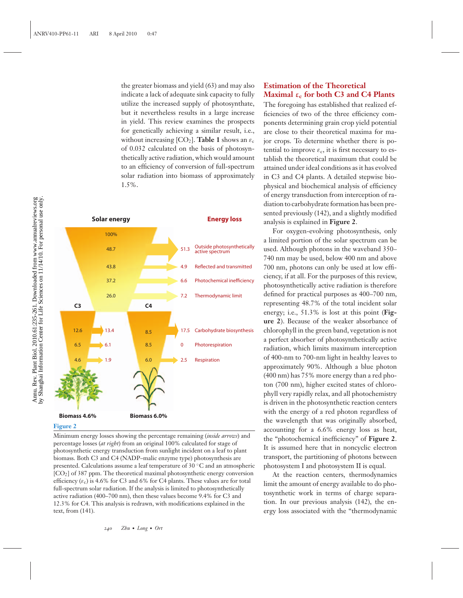the greater biomass and yield (63) and may also indicate a lack of adequate sink capacity to fully utilize the increased supply of photosynthate, but it nevertheless results in a large increase in yield. This review examines the prospects for genetically achieving a similar result, i.e., without increasing  $[CO_2]$ . **Table 1** shows an  $\varepsilon_c$ of 0.032 calculated on the basis of photosynthetically active radiation, which would amount to an efficiency of conversion of full-spectrum solar radiation into biomass of approximately 1.5%.



#### **Figure 2**

Minimum energy losses showing the percentage remaining (*inside arrows*) and percentage losses (*at right*) from an original 100% calculated for stage of photosynthetic energy transduction from sunlight incident on a leaf to plant biomass. Both C3 and C4 (NADP–malic enzyme type) photosynthesis are presented. Calculations assume a leaf temperature of 30 ◦C and an atmospheric  $[CO<sub>2</sub>]$  of 387 ppm. The theoretical maximal photosynthetic energy conversion efficiency  $(\varepsilon_c)$  is 4.6% for C3 and 6% for C4 plants. These values are for total full-spectrum solar radiation. If the analysis is limited to photosynthetically active radiation (400–700 nm), then these values become 9.4% for C3 and 12.3% for C4. This analysis is redrawn, with modifications explained in the text, from (141).

## **Estimation of the Theoretical Maximal ε<sup>c</sup> for both C3 and C4 Plants**

The foregoing has established that realized efficiencies of two of the three efficiency components determining grain crop yield potential are close to their theoretical maxima for major crops. To determine whether there is potential to improve  $\varepsilon_c$ , it is first necessary to establish the theoretical maximum that could be attained under ideal conditions as it has evolved in C3 and C4 plants. A detailed stepwise biophysical and biochemical analysis of efficiency of energy transduction from interception of radiation to carbohydrate formation has been presented previously (142), and a slightly modified analysis is explained in **Figure 2**.

For oxygen-evolving photosynthesis, only a limited portion of the solar spectrum can be used. Although photons in the waveband 350– 740 nm may be used, below 400 nm and above 700 nm, photons can only be used at low efficiency, if at all. For the purposes of this review, photosynthetically active radiation is therefore defined for practical purposes as 400–700 nm, representing 48.7% of the total incident solar energy; i.e., 51.3% is lost at this point (**Figure 2**). Because of the weaker absorbance of chlorophyll in the green band, vegetation is not a perfect absorber of photosynthetically active radiation, which limits maximum interception of 400-nm to 700-nm light in healthy leaves to approximately 90%. Although a blue photon (400 nm) has 75% more energy than a red photon (700 nm), higher excited states of chlorophyll very rapidly relax, and all photochemistry is driven in the photosynthetic reaction centers with the energy of a red photon regardless of the wavelength that was originally absorbed, accounting for a 6.6% energy loss as heat, the "photochemical inefficiency" of **Figure 2**. It is assumed here that in noncyclic electron transport, the partitioning of photons between photosystem I and photosystem II is equal.

At the reaction centers, thermodynamics limit the amount of energy available to do photosynthetic work in terms of charge separation. In our previous analysis (142), the energy loss associated with the "thermodynamic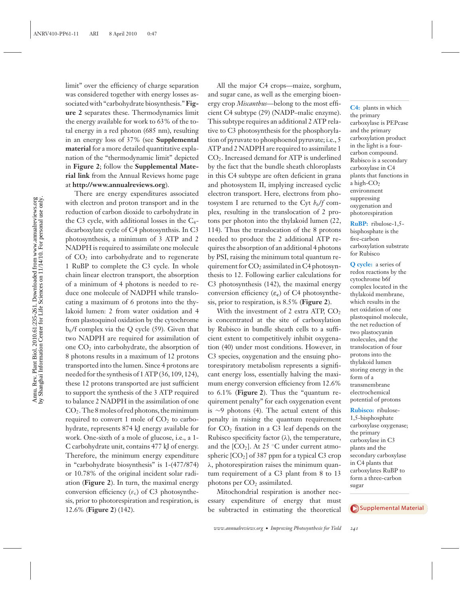Annu. Rev. Plant Biol. 2010.61:235-261. Downloaded from www.annualreviews.org<br>by Shanghai Information Center for Life Sciences on 11/14/10. For personal use only. by Shanghai Information Center for Life Sciences on 11/14/10. For personal use only.Annu. Rev. Plant Biol. 2010.61:235-261. Downloaded from www.annualreviews.org

limit" over the efficiency of charge separation was considered together with energy losses associated with "carbohydrate biosynthesis." **Figure 2** separates these. Thermodynamics limit the energy available for work to 63% of the total energy in a red photon (685 nm), resulting in an energy loss of 37% (see **Supplemental material** for a more detailed quantitative explanation of the "thermodynamic limit" depicted in **Figure 2**; follow the **Supplemental Material link** from the Annual Reviews home page at **http://www.annualreviews.org**).

There are energy expenditures associated with electron and proton transport and in the reduction of carbon dioxide to carbohydrate in the C3 cycle, with additional losses in the C4 dicarboxylate cycle of C4 photosynthsis. In C3 photosynthesis, a minimum of 3 ATP and 2 NADPH is required to assimilate one molecule of CO2 into carbohydrate and to regenerate 1 RuBP to complete the C3 cycle. In whole chain linear electron transport, the absorption of a minimum of 4 photons is needed to reduce one molecule of NADPH while translocating a maximum of 6 protons into the thylakoid lumen: 2 from water oxidation and 4 from plastoquinol oxidation by the cytochrome  $b_6$ /f complex via the Q cycle (59). Given that two NADPH are required for assimilation of one  $CO<sub>2</sub>$  into carbohydrate, the absorption of 8 photons results in a maximum of 12 protons transported into the lumen. Since 4 protons are needed for the synthesis of 1 ATP (36, 109, 124), these 12 protons transported are just sufficient to support the synthesis of the 3 ATP required to balance 2 NADPH in the assimilation of one CO2. The 8 moles of red photons, the minimum required to convert 1 mole of  $CO<sub>2</sub>$  to carbohydrate, represents 874 kJ energy available for work. One-sixth of a mole of glucose, i.e., a 1- C carbohydrate unit, contains 477 kJ of energy. Therefore, the minimum energy expenditure in "carbohydrate biosynthesis" is 1-(477/874) or 10.78% of the original incident solar radiation (**Figure 2**). In turn, the maximal energy conversion efficiency  $(\varepsilon_c)$  of C3 photosynthesis, prior to photorespiration and respiration, is 12.6% (**Figure 2**) (142).

All the major C4 crops—maize, sorghum, and sugar cane, as well as the emerging bioenergy crop *Miscanthus*—belong to the most efficient C4 subtype (29) (NADP–malic enzyme). This subtype requires an additional 2 ATP relative to C3 photosynthesis for the phosphorylation of pyruvate to phosphoenol pyruvate; i.e., 5 ATP and 2 NADPH are required to assimilate 1 CO<sub>2</sub>. Increased demand for ATP is underlined by the fact that the bundle sheath chloroplasts in this C4 subtype are often deficient in grana and photosystem II, implying increased cyclic electron transport. Here, electrons from photosystem I are returned to the Cyt  $b_6/f$  complex, resulting in the translocation of 2 protons per photon into the thylakoid lumen (22, 114). Thus the translocation of the 8 protons needed to produce the 2 additional ATP requires the absorption of an additional 4 photons by PSI, raising the minimum total quantum requirement for  $CO_2$  assimilated in C4 photosynthesis to 12. Following earlier calculations for C3 photosynthesis (142), the maximal energy conversion efficiency  $(\varepsilon_c)$  of C4 photosynthesis, prior to respiration, is 8.5% (**Figure 2**).

With the investment of  $2$  extra ATP,  $CO<sub>2</sub>$ is concentrated at the site of carboxylation by Rubisco in bundle sheath cells to a sufficient extent to competitively inhibit oxygenation (40) under most conditions. However, in C3 species, oxygenation and the ensuing photorespiratory metabolism represents a significant energy loss, essentially halving the maximum energy conversion efficiency from 12.6% to 6.1% (**Figure 2**). Thus the "quantum requirement penalty" for each oxygenation event is ∼9 photons (4). The actual extent of this penalty in raising the quantum requirement for  $CO<sub>2</sub>$  fixation in a C3 leaf depends on the Rubisco specificity factor  $(\lambda)$ , the temperature, and the  $[CO_2]$ . At 25 °C under current atmospheric  $[CO<sub>2</sub>]$  of 387 ppm for a typical C3 crop λ, photorespiration raises the minimum quantum requirement of a C3 plant from 8 to 13 photons per  $CO<sub>2</sub>$  assimilated.

Mitochondrial respiration is another necessary expenditure of energy that must be subtracted in estimating the theoretical

**C4:** plants in which the primary carboxylase is PEPcase and the primary carboxylation product in the light is a fourcarbon compound. Rubisco is a secondary carboxylase in C4 plants that functions in a high-CO2 environment suppressing oxygenation and photorespiration

**RuBP:** ribulose-1,5 bisphosphate is the five-carbon carboxylation substrate for Rubisco

**Q cycle:** a series of redox reactions by the cytochrome b6f complex located in the thylakoid membrane, which results in the net oxidation of one plastoquinol molecule, the net reduction of two plastocyanin molecules, and the translocation of four protons into the thylakoid lumen storing energy in the form of a transmembrane electrochemical potential of protons

**Rubisco:** ribulose-1,5-bisphosphate carboxylase oxygenase; the primary carboxylase in C3 plants and the secondary carboxylase in C4 plants that carboxylates RuBP to form a three-carbon sugar

[Supplemental](http://arjournals.annualreviews.org/article/suppl/10.1146/annurev-arplant-042809-112206?file=pp-61-ort.pdf) Material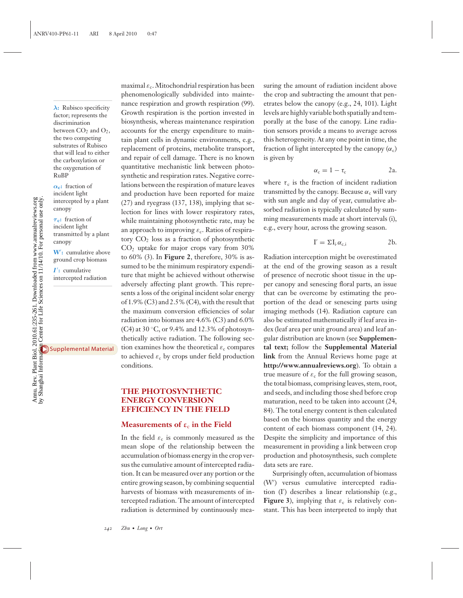*λ***:** Rubisco specificity factor; represents the discrimination between  $CO<sub>2</sub>$  and  $O<sub>2</sub>$ , the two competing substrates of Rubisco that will lead to either the carboxylation or the oxygenation of RuBP

*α***c:** fraction of incident light intercepted by a plant canopy

*τ* **c:** fraction of incident light transmitted by a plant canopy

**W**- **:** cumulative above ground crop biomass

*I*- **:** cumulative intercepted radiation

[Supplemental](http://arjournals.annualreviews.org/article/suppl/10.1146/annurev-arplant-042809-112206?file=pp-61-ort.pdf) Material

maximal  $\varepsilon_c$ . Mitochondrial respiration has been phenomenologically subdivided into maintenance respiration and growth respiration (99). Growth respiration is the portion invested in biosynthesis, whereas maintenance respiration accounts for the energy expenditure to maintain plant cells in dynamic environments, e.g., replacement of proteins, metabolite transport, and repair of cell damage. There is no known quantitative mechanistic link between photosynthetic and respiration rates. Negative correlations between the respiration of mature leaves and production have been reported for maize (27) and ryegrass (137, 138), implying that selection for lines with lower respiratory rates, while maintaining photosynthetic rate, may be an approach to improving  $\varepsilon_c$ . Ratios of respiratory  $CO<sub>2</sub>$  loss as a fraction of photosynthetic CO2 uptake for major crops vary from 30% to 60% (3). In **Figure 2**, therefore, 30% is assumed to be the minimum respiratory expenditure that might be achieved without otherwise adversely affecting plant growth. This represents a loss of the original incident solar energy of 1.9% (C3) and 2.5% (C4), with the result that the maximum conversion efficiencies of solar radiation into biomass are 4.6% (C3) and 6.0% (C4) at 30 ◦C, or 9.4% and 12.3% of photosynthetically active radiation. The following section examines how the theoretical  $\varepsilon_c$  compares to achieved  $\varepsilon_c$  by crops under field production conditions.

#### **THE PHOTOSYNTHETIC ENERGY CONVERSION EFFICIENCY IN THE FIELD**

#### **Measurements of**  $\varepsilon_c$  in the Field

In the field  $\varepsilon_c$  is commonly measured as the mean slope of the relationship between the accumulation of biomass energy in the crop versus the cumulative amount of intercepted radiation. It can be measured over any portion or the entire growing season, by combining sequential harvests of biomass with measurements of intercepted radiation. The amount of intercepted radiation is determined by continuously measuring the amount of radiation incident above the crop and subtracting the amount that penetrates below the canopy (e.g., 24, 101). Light levels are highly variable both spatially and temporally at the base of the canopy. Line radiation sensors provide a means to average across this heterogeneity. At any one point in time, the fraction of light intercepted by the canopy  $(\alpha_c)$ is given by

$$
\alpha_{\rm c}=1-\tau_{\rm c} \hspace{1.5cm} 2a.
$$

where  $\tau_c$  is the fraction of incident radiation transmitted by the canopy. Because  $\alpha_c$  will vary with sun angle and day of year, cumulative absorbed radiation is typically calculated by summing measurements made at short intervals (i), e.g., every hour, across the growing season.

$$
I' = \Sigma I_i \alpha_{c,i} \qquad \qquad 2b.
$$

Radiation interception might be overestimated at the end of the growing season as a result of presence of necrotic shoot tissue in the upper canopy and senescing floral parts, an issue that can be overcome by estimating the proportion of the dead or senescing parts using imaging methods (14). Radiation capture can also be estimated mathematically if leaf area index (leaf area per unit ground area) and leaf angular distribution are known (see **Supplemental text;** follow the **Supplemental Material link** from the Annual Reviews home page at **http://www.annualreviews.org**). To obtain a true measure of  $\varepsilon_c$  for the full growing season, the total biomass, comprising leaves, stem, root, and seeds, and including those shed before crop maturation, need to be taken into account (24, 84). The total energy content is then calculated based on the biomass quantity and the energy content of each biomass component (14, 24). Despite the simplicity and importance of this measurement in providing a link between crop production and photosynthesis, such complete data sets are rare.

Surprisingly often, accumulation of biomass (W') versus cumulative intercepted radiation (I') describes a linear relationship (e.g., **Figure 3**), implying that  $\varepsilon_c$  is relatively constant. This has been interpreted to imply that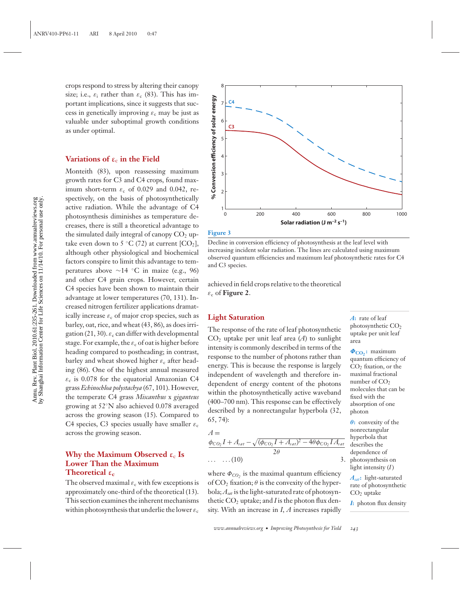crops respond to stress by altering their canopy size; i.e.,  $\varepsilon_i$  rather than  $\varepsilon_c$  (83). This has important implications, since it suggests that success in genetically improving  $\varepsilon_c$  may be just as valuable under suboptimal growth conditions as under optimal.

#### **Variations of ε**<sup>c</sup> **in the Field**

Monteith (83), upon reassessing maximum growth rates for C3 and C4 crops, found maximum short-term  $\varepsilon_c$  of 0.029 and 0.042, respectively, on the basis of photosynthetically active radiation. While the advantage of C4 photosynthesis diminishes as temperature decreases, there is still a theoretical advantage to the simulated daily integral of canopy  $CO<sub>2</sub>$  uptake even down to 5  $°C$  (72) at current  $[CO<sub>2</sub>]$ , although other physiological and biochemical factors conspire to limit this advantage to temperatures above ∼14 ◦C in maize (e.g., 96) and other C4 grain crops. However, certain C4 species have been shown to maintain their advantage at lower temperatures (70, 131). Increased nitrogen fertilizer applications dramatically increase  $\varepsilon_c$  of major crop species, such as barley, oat, rice, and wheat (43, 86), as does irrigation (21, 30).  $\varepsilon_c$  can differ with developmental stage. For example, the  $\varepsilon_c$  of oat is higher before heading compared to postheading; in contrast, barley and wheat showed higher  $\varepsilon_c$  after heading (86). One of the highest annual measured  $\varepsilon_c$  is 0.078 for the equatorial Amazonian C4 grass *Echinochloa polystachya* (67, 101). However, the temperate C4 grass *Miscanthus* x *giganteus* growing at 52◦N also achieved 0.078 averaged across the growing season (15). Compared to C4 species, C3 species usually have smaller  $\varepsilon_c$ across the growing season.

## **Why the Maximum Observed**  $\varepsilon_c$  **Is Lower Than the Maximum Theoretical ε<sup>c</sup>**

The observed maximal  $\varepsilon_c$  with few exceptions is approximately one-third of the theoretical (13). This section examines the inherent mechanisms within photosynthesis that underlie the lower  $\varepsilon_c$ 



#### **Figure 3**

Decline in conversion efficiency of photosynthesis at the leaf level with increasing incident solar radiation. The lines are calculated using maximum observed quantum efficiencies and maximum leaf photosynthetic rates for C4 and C3 species.

achieved in field crops relative to the theoretical  $\varepsilon_c$  of **Figure 2**.

#### **Light Saturation**

The response of the rate of leaf photosynthetic  $CO<sub>2</sub>$  uptake per unit leaf area (*A*) to sunlight intensity is commonly described in terms of the response to the number of photons rather than energy. This is because the response is largely independent of wavelength and therefore independent of energy content of the photons within the photosynthetically active waveband (400–700 nm). This response can be effectively described by a nonrectangular hyperbola (32, 65, 74):

$$
A =
$$

$$
\frac{\phi_{CO_2}I + A_{sat} - \sqrt{(\phi_{CO_2}I + A_{sat})^2 - 4\theta\phi_{CO_2}IA_{sat}}}{2\theta}
$$
  
... (10)

where  $\Phi_{CO}$ , is the maximal quantum efficiency of  $CO<sub>2</sub>$  fixation;  $\theta$  is the convexity of the hyperbola;*Asat* is the light-saturated rate of photosynthetic  $CO<sub>2</sub>$  uptake; and *I* is the photon flux density. With an increase in *I*, *A* increases rapidly *A***:** rate of leaf photosynthetic CO<sub>2</sub> uptake per unit leaf area

 $Φ<sub>CO</sub>$  **:** maximum quantum efficiency of  $CO<sub>2</sub>$  fixation, or the maximal fractional number of CO<sub>2</sub> molecules that can be fixed with the absorption of one photon

*θ***:** convexity of the nonrectangular hyperbola that describes the dependence of photosynthesis on light intensity (*I*)

> *Asat***:** light-saturated rate of photosynthetic CO2 uptake

*I***:** photon flux density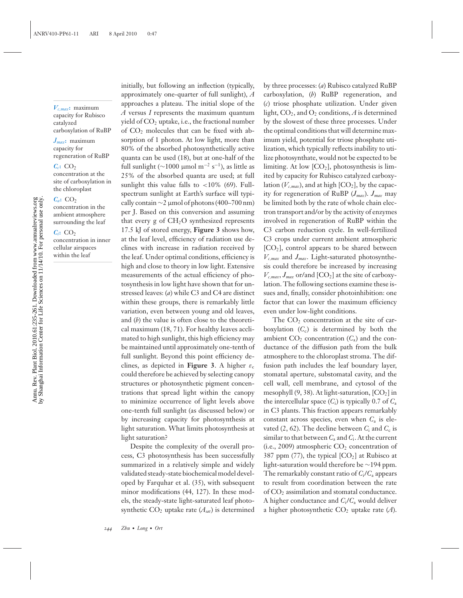*Vc*,*max***:** maximum capacity for Rubisco catalyzed carboxylation of RuBP

*Jmax***:** maximum capacity for regeneration of RuBP

#### $C_c$ **:** CO<sub>2</sub>

concentration at the site of carboxylation in the chloroplast

#### $C_a$ **:** CO<sub>2</sub>

concentration in the ambient atmosphere surrounding the leaf

#### *Ci***:** CO2

concentration in inner cellular airspaces within the leaf

initially, but following an inflection (typically, approximately one-quarter of full sunlight), *A* approaches a plateau. The initial slope of the *A* versus *I* represents the maximum quantum yield of  $CO<sub>2</sub>$  uptake, i.e., the fractional number of  $CO<sub>2</sub>$  molecules that can be fixed with absorption of 1 photon. At low light, more than 80% of the absorbed photosynthetically active quanta can be used (18), but at one-half of the full sunlight ( $\sim$ 1000 µmol m<sup>-2</sup> s<sup>-1</sup>), as little as 25% of the absorbed quanta are used; at full sunlight this value falls to  $\langle 10\% \rangle$  (69). Fullspectrum sunlight at Earth's surface will typically contain  $\sim$ 2 µmol of photons (400–700 nm) per J. Based on this conversion and assuming that every  $g$  of  $CH<sub>2</sub>O$  synthesized represents 17.5 kJ of stored energy, **Figure 3** shows how, at the leaf level, efficiency of radiation use declines with increase in radiation received by the leaf. Under optimal conditions, efficiency is high and close to theory in low light. Extensive measurements of the actual efficiency of photosynthesis in low light have shown that for unstressed leaves: (*a*) while C3 and C4 are distinct within these groups, there is remarkably little variation, even between young and old leaves, and (*b*) the value is often close to the theoretical maximum (18, 71). For healthy leaves acclimated to high sunlight, this high efficiency may be maintained until approximately one-tenth of full sunlight. Beyond this point efficiency declines, as depicted in **Figure 3**. A higher  $\varepsilon_c$ could therefore be achieved by selecting canopy structures or photosynthetic pigment concentrations that spread light within the canopy to minimize occurrence of light levels above one-tenth full sunlight (as discussed below) or by increasing capacity for photosynthesis at light saturation. What limits photosynthesis at light saturation?

Despite the complexity of the overall process, C3 photosynthesis has been successfully summarized in a relatively simple and widely validated steady-state biochemical model developed by Farquhar et al. (35), with subsequent minor modifications (44, 127). In these models, the steady-state light-saturated leaf photosynthetic  $CO<sub>2</sub>$  uptake rate ( $A<sub>sat</sub>$ ) is determined

by three processes: (*a*) Rubisco catalyzed RuBP carboxylation, (*b*) RuBP regeneration, and (*c*) triose phosphate utilization. Under given light,  $CO_2$ , and  $O_2$  conditions,  $A$  is determined by the slowest of these three processes. Under the optimal conditions that will determine maximum yield, potential for triose phosphate utilization, which typically reflects inability to utilize photosynthate, would not be expected to be limiting. At low  $[CO_2]$ , photosynthesis is limited by capacity for Rubisco catalyzed carboxylation ( $V_{c,max}$ ), and at high [CO<sub>2</sub>], by the capacity for regeneration of RuBP (*Jmax*). *Jmax* may be limited both by the rate of whole chain electron transport and/or by the activity of enzymes involved in regeneration of RuBP within the C3 carbon reduction cycle. In well-fertilized C3 crops under current ambient atmospheric  $[CO<sub>2</sub>]$ , control appears to be shared between *Vc*,*max* and *Jmax*. Light-saturated photosynthesis could therefore be increased by increasing  $V_{c,max}$ ,  $J_{max}$  or/and [CO<sub>2</sub>] at the site of carboxylation. The following sections examine these issues and, finally, consider photoinhibition: one factor that can lower the maximum efficiency even under low-light conditions.

The  $CO<sub>2</sub>$  concentration at the site of carboxylation  $(C_c)$  is determined by both the ambient  $CO_2$  concentration  $(C_a)$  and the conductance of the diffusion path from the bulk atmosphere to the chloroplast stroma. The diffusion path includes the leaf boundary layer, stomatal aperture, substomatal cavity, and the cell wall, cell membrane, and cytosol of the mesophyll  $(9, 38)$ . At light-saturation,  $[CO<sub>2</sub>]$  in the intercellular space  $(C_i)$  is typically 0.7 of  $C_a$ in C3 plants. This fraction appears remarkably constant across species, even when *C*<sup>a</sup> is elevated  $(2, 62)$ . The decline between  $C_i$  and  $C_c$  is similar to that between  $C_a$  and  $C_i$ . At the current (i.e., 2009) atmospheric  $CO<sub>2</sub>$  concentration of 387 ppm (77), the typical  $[CO<sub>2</sub>]$  at Rubisco at light-saturation would therefore be ∼194 ppm. The remarkably constant ratio of *C*i/*C*<sup>a</sup> appears to result from coordination between the rate of CO2 assimilation and stomatal conductance. A higher conductance and  $C_i/C_a$  would deliver a higher photosynthetic  $CO<sub>2</sub>$  uptake rate (A).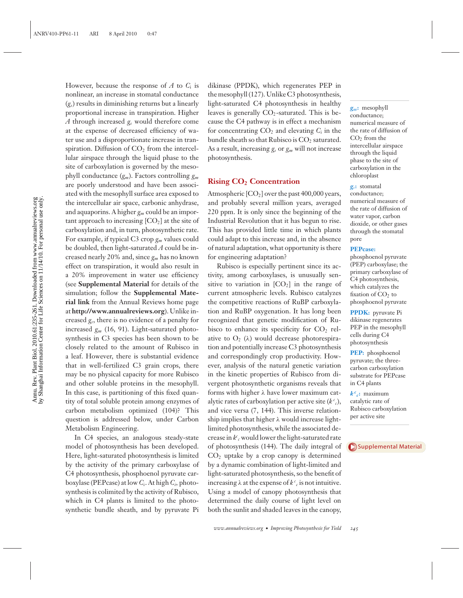However, because the response of  $A$  to  $C_i$  is nonlinear, an increase in stomatal conductance (*gs*) results in diminishing returns but a linearly proportional increase in transpiration. Higher *A* through increased *gs* would therefore come at the expense of decreased efficiency of water use and a disproportionate increase in transpiration. Diffusion of  $CO<sub>2</sub>$  from the intercellular airspace through the liquid phase to the site of carboxylation is governed by the mesophyll conductance (*gm*). Factors controlling *gm* are poorly understood and have been associated with the mesophyll surface area exposed to the intercellular air space, carbonic anhydrase, and aquaporins. A higher *gm* could be an important approach to increasing  $[CO<sub>2</sub>]$  at the site of carboxylation and, in turn, photosynthetic rate. For example, if typical C3 crop *gm* values could be doubled, then light-saturated *A* could be increased nearly 20% and, since *gm* has no known effect on transpiration, it would also result in a 20% improvement in water use efficiency (see **Supplemental Material** for details of the simulation; follow the **Supplemental Material link** from the Annual Reviews home page at **http://www.annualreviews.org**). Unlike increased *gs*, there is no evidence of a penalty for increased *gm* (16, 91). Light-saturated photosynthesis in C3 species has been shown to be closely related to the amount of Rubisco in a leaf. However, there is substantial evidence that in well-fertilized C3 grain crops, there may be no physical capacity for more Rubisco and other soluble proteins in the mesophyll. In this case, is partitioning of this fixed quantity of total soluble protein among enzymes of carbon metabolism optimized (104)? This question is addressed below, under Carbon Metabolism Engineering.

In C4 species, an analogous steady-state model of photosynthesis has been developed. Here, light-saturated photosynthesis is limited by the activity of the primary carboxylase of C4 photosynthesis, phosphoenol pyruvate carboxylase (PEPcase) at low *C*i. At high *Ci,* photosynthesis is colimited by the activity of Rubisco, which in C<sub>4</sub> plants is limited to the photosynthetic bundle sheath, and by pyruvate Pi dikinase (PPDK), which regenerates PEP in the mesophyll (127). Unlike C3 photosynthesis, light-saturated C4 photosynthesis in healthy leaves is generally  $CO<sub>2</sub>$ -saturated. This is because the C4 pathway is in effect a mechanism for concentrating  $CO<sub>2</sub>$  and elevating  $C<sub>i</sub>$  in the bundle sheath so that Rubisco is  $CO<sub>2</sub>$  saturated. As a result, increasing *gs* or *gm* will not increase photosynthesis.

### **Rising CO2 Concentration**

Atmospheric  $[CO_2]$  over the past 400,000 years, and probably several million years, averaged 220 ppm. It is only since the beginning of the Industrial Revolution that it has begun to rise. This has provided little time in which plants could adapt to this increase and, in the absence of natural adaptation, what opportunity is there for engineering adaptation?

Rubisco is especially pertinent since its activity, among carboxylases, is unusually sensitive to variation in  $[CO<sub>2</sub>]$  in the range of current atmospheric levels. Rubisco catalyzes the competitive reactions of RuBP carboxylation and RuBP oxygenation. It has long been recognized that genetic modification of Rubisco to enhance its specificity for  $CO<sub>2</sub>$  relative to  $O_2$  ( $\lambda$ ) would decrease photorespiration and potentially increase C3 photosynthesis and correspondingly crop productivity. However, analysis of the natural genetic variation in the kinetic properties of Rubisco from divergent photosynthetic organisms reveals that forms with higher λ have lower maximum catalytic rates of carboxylation per active site  $(k^c)_i$ , and vice versa (7, 144). This inverse relationship implies that higher  $\lambda$  would increase lightlimited photosynthesis, while the associated decrease in  $k^c$ <sub>c</sub> would lower the light-saturated rate of photosynthesis (144). The daily integral of  $CO<sub>2</sub>$  uptake by a crop canopy is determined by a dynamic combination of light-limited and light-saturated photosynthesis, so the benefit of increasing  $\lambda$  at the expense of  $k^c$  *c* is not intuitive. Using a model of canopy photosynthesis that determined the daily course of light level on both the sunlit and shaded leaves in the canopy,

*gm***:** mesophyll conductance; numerical measure of the rate of diffusion of  $CO<sub>2</sub>$  from the intercellular airspace through the liquid phase to the site of carboxylation in the chloroplast

#### *gs***:** stomatal

conductance; numerical measure of the rate of diffusion of water vapor, carbon dioxide, or other gases through the stomatal pore

#### **PEPcase:**

phosphoenol pyruvate (PEP) carboxylase; the primary carboxylase of C4 photosynthesis, which catalyzes the fixation of  $CO<sub>2</sub>$  to phosphoenol pyruvate

**PPDK:** pyruvate Pi dikinase regenerates PEP in the mesophyll cells during C4 photosynthesis

**PEP:** phosphoenol pyruvate; the threecarbon carboxylation substrate for PEPcase in C4 plants

 $k^c$ **c**: maximum catalytic rate of Rubisco carboxylation per active site

[Supplemental](http://arjournals.annualreviews.org/article/suppl/10.1146/annurev-arplant-042809-112206?file=pp-61-ort.pdf) Material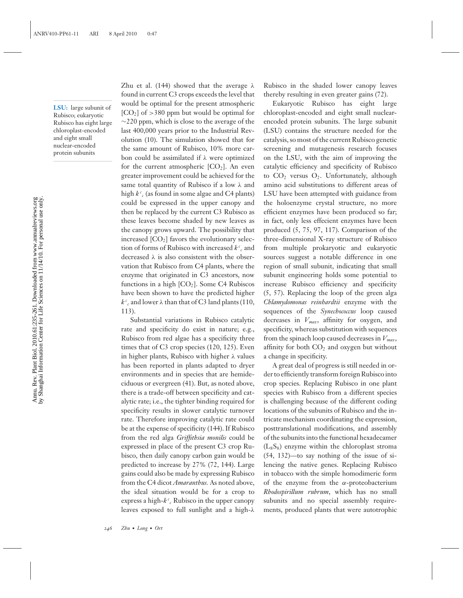**LSU:** large subunit of Rubisco; eukaryotic Rubisco has eight large chloroplast-encoded and eight small nuclear-encoded protein subunits

Zhu et al. (144) showed that the average  $λ$ found in current C3 crops exceeds the level that would be optimal for the present atmospheric  $[CO<sub>2</sub>]$  of >380 ppm but would be optimal for ∼220 ppm, which is close to the average of the last 400,000 years prior to the Industrial Revolution (10). The simulation showed that for the same amount of Rubisco, 10% more carbon could be assimilated if  $\lambda$  were optimized for the current atmospheric  $[CO<sub>2</sub>]$ . An even greater improvement could be achieved for the same total quantity of Rubisco if a low λ and high  $k^c$ <sub>c</sub> (as found in some algae and C4 plants) could be expressed in the upper canopy and then be replaced by the current C3 Rubisco as these leaves become shaded by new leaves as the canopy grows upward. The possibility that increased  $[CO<sub>2</sub>]$  favors the evolutionary selection of forms of Rubisco with increased  $k^c$  and decreased  $\lambda$  is also consistent with the observation that Rubisco from C4 plants, where the enzyme that originated in C3 ancestors, now functions in a high  $[CO<sub>2</sub>]$ . Some C4 Rubiscos have been shown to have the predicted higher  $k^c$ <sub>c</sub> and lower  $\lambda$  than that of C3 land plants (110, 113).

Substantial variations in Rubisco catalytic rate and specificity do exist in nature; e.g., Rubisco from red algae has a specificity three times that of C3 crop species (120, 125). Even in higher plants, Rubisco with higher λ values has been reported in plants adapted to dryer environments and in species that are hemideciduous or evergreen (41). But, as noted above, there is a trade-off between specificity and catalytic rate; i.e., the tighter binding required for specificity results in slower catalytic turnover rate. Therefore improving catalytic rate could be at the expense of specificity (144). If Rubisco from the red alga *Griffithsia monilis* could be expressed in place of the present C3 crop Rubisco, then daily canopy carbon gain would be predicted to increase by 27% (72, 144). Large gains could also be made by expressing Rubisco from the C4 dicot *Amaranthus.* As noted above, the ideal situation would be for a crop to express a high- $k^c$ <sub>c</sub> Rubisco in the upper canopy leaves exposed to full sunlight and a high-λ

Rubisco in the shaded lower canopy leaves thereby resulting in even greater gains (72).

Eukaryotic Rubisco has eight large chloroplast-encoded and eight small nuclearencoded protein subunits. The large subunit (LSU) contains the structure needed for the catalysis, so most of the current Rubisco genetic screening and mutagenesis research focuses on the LSU, with the aim of improving the catalytic efficiency and specificity of Rubisco to  $CO<sub>2</sub>$  versus  $O<sub>2</sub>$ . Unfortunately, although amino acid substitutions to different areas of LSU have been attempted with guidance from the holoenzyme crystal structure, no more efficient enzymes have been produced so far; in fact, only less effecient enzymes have been produced (5, 75, 97, 117). Comparison of the three-dimensional X-ray structure of Rubisco from multiple prokaryotic and eukaryotic sources suggest a notable difference in one region of small subunit, indicating that small subunit engineering holds some potential to increase Rubisco efficiency and specificity (5, 57). Replacing the loop of the green alga *Chlamydomonas reinhardtii* enzyme with the sequences of the *Synechococcus* loop caused decreases in *Vmax*, affinity for oxygen, and specificity, whereas substitution with sequences from the spinach loop caused decreases in *Vmax*, affinity for both  $CO<sub>2</sub>$  and oxygen but without a change in specificity.

A great deal of progress is still needed in order to efficiently transform foreign Rubisco into crop species. Replacing Rubisco in one plant species with Rubisco from a different species is challenging because of the different coding locations of the subunits of Rubisco and the intricate mechanism coordinating the expression, posttranslational modifications, and assembly of the subunits into the functional hexadecamer  $(L_8S_8)$  enzyme within the chloroplast stroma (54, 132)—to say nothing of the issue of silencing the native genes. Replacing Rubisco in tobacco with the simple homodimeric form of the enzyme from the  $\alpha$ -proteobacterium *Rhodospirillum rubrum*, which has no small subunits and no special assembly requirements, produced plants that were autotrophic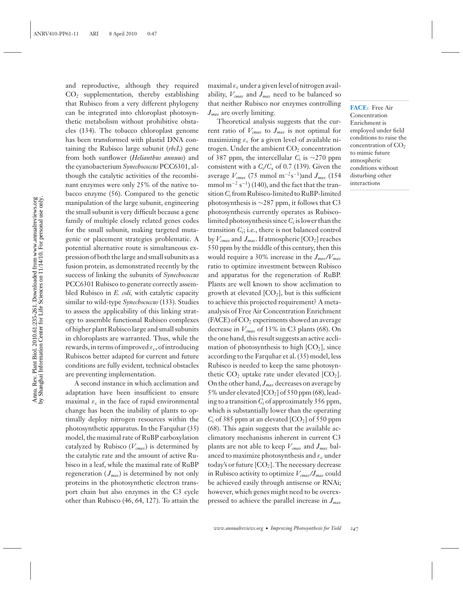and reproductive, although they required CO2 supplementation, thereby establishing that Rubisco from a very different phylogeny can be integrated into chloroplast photosynthetic metabolism without prohibitive obstacles (134). The tobacco chloroplast genome has been transformed with plastid DNA containing the Rubisco large subunit (*rbcL*) gene from both sunflower (*Helianthus annuus*) and the cyanobacterium *Synechococcus* PCC6301, although the catalytic activities of the recombinant enzymes were only 25% of the native tobacco enzyme (56). Compared to the genetic manipulation of the large subunit, engineering the small subunit is very difficult because a gene family of multiple closely related genes codes for the small subunit, making targeted mutagenic or placement strategies problematic. A potential alternative route is simultaneous expression of both the large and small subunits as a fusion protein, as demonstrated recently by the success of linking the subunits of *Synechococcus* PCC6301 Rubisco to generate correctly assembled Rubisco in *E. coli,* with catalytic capacity similar to wild-type *Synechococcus* (133). Studies to assess the applicability of this linking strategy to assemble functional Rubisco complexes of higher plant Rubisco large and small subunits in chloroplasts are warranted. Thus, while the rewards, in terms of improved  $\varepsilon_c$ , of introducing Rubiscos better adapted for current and future conditions are fully evident, technical obstacles are preventing implementation.

A second instance in which acclimation and adaptation have been insufficient to ensure maximal  $\varepsilon_c$  in the face of rapid environmental change has been the inability of plants to optimally deploy nitrogen resources within the photosynthetic apparatus. In the Farquhar (35) model, the maximal rate of RuBP carboxylation catalyzed by Rubisco  $(V_{cmax})$  is determined by the catalytic rate and the amount of active Rubisco in a leaf, while the maximal rate of RuBP regeneration  $(J_{max})$  is determined by not only proteins in the photosynthetic electron transport chain but also enzymes in the C3 cycle other than Rubisco (46, 64, 127). To attain the maximal  $\varepsilon_c$  under a given level of nitrogen availability,  $V_{cmax}$  and  $J_{max}$  need to be balanced so that neither Rubisco nor enzymes controlling *Jmax* are overly limiting.

Theoretical analysis suggests that the current ratio of  $V_{cmax}$  to  $J_{max}$  is not optimal for maximizing  $\varepsilon_c$  for a given level of available nitrogen. Under the ambient  $CO<sub>2</sub>$  concentration of 387 ppm, the intercellular *C*<sup>i</sup> is ∼270 ppm consistent with a *C*i/*C*<sup>a</sup> of 0.7 (139). Given the average  $V_{cmax}$  (75 mmol m<sup>-2</sup>s<sup>-1</sup>)and  $J_{max}$  (154 mmol m<sup>-2</sup> s<sup>-1</sup>) (140), and the fact that the transition*C*<sup>i</sup> from Rubisco-limited to RuBP-limited photosynthesis is ∼287 ppm, it follows that C3 photosynthesis currently operates as Rubiscolimited photosynthesis since*C*<sup>i</sup> is lower than the transition *C*i; i.e., there is not balanced control by  $V_{cmax}$  and  $J_{max}$ . If atmospheric  $[CO_2]$  reaches 550 ppm by the middle of this century, then this would require a 30% increase in the *Jmax/Vmax* ratio to optimize investment between Rubisco and apparatus for the regeneration of RuBP. Plants are well known to show acclimation to growth at elevated  $[CO<sub>2</sub>]$ , but is this sufficient to achieve this projected requirement? A metaanalysis of Free Air Concentration Enrichment  $(FACE)$  of  $CO<sub>2</sub>$  experiments showed an average decrease in  $V_{cmax}$  of 13% in C3 plants (68). On the one hand, this result suggests an active acclimation of photosynthesis to high  $[CO<sub>2</sub>]$ , since according to the Farquhar et al. (35) model, less Rubisco is needed to keep the same photosynthetic  $CO<sub>2</sub>$  uptake rate under elevated  $[CO<sub>2</sub>]$ . On the other hand, *Jmax* decreases on average by 5% under elevated [CO2] of 550 ppm (68), leading to a transition *C*<sup>i</sup> of approximately 356 ppm, which is substantially lower than the operating  $C_i$  of 385 ppm at an elevated  $[CO_2]$  of 550 ppm (68). This again suggests that the available acclimatory mechanisms inherent in current C3 plants are not able to keep  $V_{cmax}$  and  $J_{max}$  balanced to maximize photosynthesis and  $\varepsilon_c$  under today's or future  $[CO_2]$ . The necessary decrease in Rubisco activity to optimize *Vcmax/Jmax* could be achieved easily through antisense or RNAi; however, which genes might need to be overexpressed to achieve the parallel increase in *Jmax*

**FACE:** Free Air Concentration Enrichment is employed under field conditions to raise the concentration of CO<sub>2</sub> to mimic future atmospheric conditions without disturbing other interactions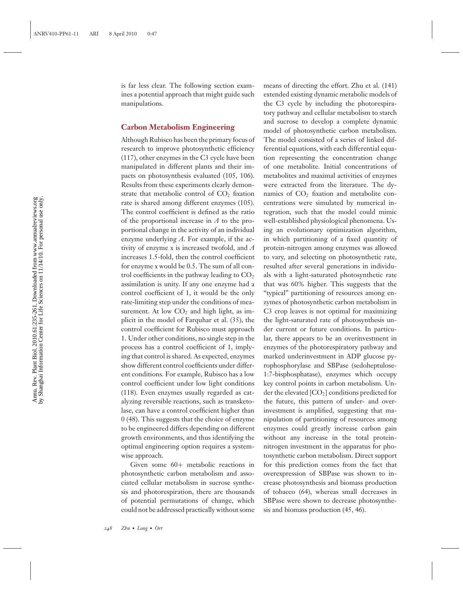is far less clear. The following section examines a potential approach that might guide such manipulations.

#### **Carbon Metabolism Engineering**

Although Rubisco has been the primary focus of research to improve photosynthetic efficiency (117), other enzymes in the C3 cycle have been manipulated in different plants and their impacts on photosynthesis evaluated (105, 106). Results from these experiments clearly demonstrate that metabolic control of  $CO<sub>2</sub>$  fixation rate is shared among different enzymes (105). The control coefficient is defined as the ratio of the proportional increase in *A* to the proportional change in the activity of an individual enzyme underlying *A.* For example, if the activity of enzyme x is increased twofold, and *A* increases 1.5-fold, then the control coefficient for enzyme x would be 0.5. The sum of all control coefficients in the pathway leading to  $CO<sub>2</sub>$ assimilation is unity. If any one enzyme had a control coefficient of 1, it would be the only rate-limiting step under the conditions of measurement. At low  $CO<sub>2</sub>$  and high light, as implicit in the model of Farquhar et al. (35), the control coefficient for Rubisco must approach 1. Under other conditions, no single step in the process has a control coefficient of 1, implying that control is shared. As expected, enzymes show different control coefficients under different conditions. For example, Rubisco has a low control coefficient under low light conditions (118). Even enzymes usually regarded as catalyzing reversible reactions, such as transketolase, can have a control coefficient higher than 0 (48). This suggests that the choice of enzyme to be engineered differs depending on different growth environments, and thus identifying the optimal engineering option requires a systemwise approach.

Given some 60+ metabolic reactions in photosynthetic carbon metabolism and associated cellular metabolism in sucrose synthesis and photorespiration, there are thousands of potential permutations of change, which could not be addressed practically without some

means of directing the effort. Zhu et al. (141) extended existing dynamic metabolic models of the C3 cycle by including the photorespiratory pathway and cellular metabolism to starch and sucrose to develop a complete dynamic model of photosynthetic carbon metabolism. The model consisted of a series of linked differential equations, with each differential equation representing the concentration change of one metabolite. Initial concentrations of metabolites and maximal activities of enzymes were extracted from the literature. The dynamics of  $CO<sub>2</sub>$  fixation and metabolite concentrations were simulated by numerical integration, such that the model could mimic well-established physiological phenomena. Using an evolutionary optimization algorithm, in which partitioning of a fixed quantity of protein-nitrogen among enzymes was allowed to vary, and selecting on photosynthetic rate, resulted after several generations in individuals with a light-saturated photosynthetic rate that was 60% higher. This suggests that the "typical" partitioning of resources among enzymes of photosynthetic carbon metabolism in C3 crop leaves is not optimal for maximizing the light-saturated rate of photosynthesis under current or future conditions. In particular, there appears to be an overinvestment in enzymes of the photorespiratory pathway and marked underinvestment in ADP glucose pyrophosphorylase and SBPase (sedoheptulose-1:7-bisphosphatase), enzymes which occupy key control points in carbon metabolism. Under the elevated [CO2] conditions predicted for the future, this pattern of under- and overinvestment is amplified, suggesting that manipulation of partitioning of resources among enzymes could greatly increase carbon gain without any increase in the total proteinnitrogen investment in the apparatus for photosynthetic carbon metabolism. Direct support for this prediction comes from the fact that overexpression of SBPase was shown to increase photosynthesis and biomass production of tobacco (64), whereas small decreases in SBPase were shown to decrease photosynthesis and biomass production (45, 46).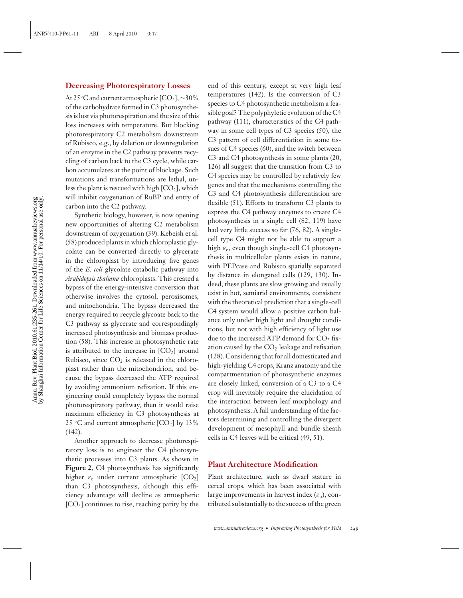#### **Decreasing Photorespiratory Losses**

At 25°C and current atmospheric [CO<sub>2</sub>], ~30% of the carbohydrate formed in C3 photosynthesis is lost via photorespiration and the size of this loss increases with temperature. But blocking photorespiratory C2 metabolism downstream of Rubisco, e.g., by deletion or downregulation of an enzyme in the C2 pathway prevents recycling of carbon back to the C3 cycle, while carbon accumulates at the point of blockage. Such mutations and transformations are lethal, unless the plant is rescued with high  $[CO<sub>2</sub>]$ , which will inhibit oxygenation of RuBP and entry of carbon into the C2 pathway.

Synthetic biology, however, is now opening new opportunities of altering C2 metabolism downstream of oxygenation (39). Kebeish et al. (58) produced plants in which chloroplastic glycolate can be converted directly to glycerate in the chloroplast by introducing five genes of the *E. coli* glycolate catabolic pathway into *Arabidopsis thaliana* chloroplasts. This created a bypass of the energy-intensive conversion that otherwise involves the cytosol, peroxisomes, and mitochondria. The bypass decreased the energy required to recycle glycoate back to the C3 pathway as glycerate and correspondingly increased photosynthesis and biomass production (58). This increase in photosynthetic rate is attributed to the increase in  $[CO<sub>2</sub>]$  around Rubisco, since  $CO<sub>2</sub>$  is released in the chloroplast rather than the mitochondrion, and because the bypass decreased the ATP required by avoiding ammonium refixation. If this engineering could completely bypass the normal photorespiratory pathway, then it would raise maximum efficiency in C3 photosynthesis at 25 °C and current atmospheric  $[CO_2]$  by 13% (142).

Another approach to decrease photorespiratory loss is to engineer the C4 photosynthetic processes into C3 plants. As shown in **Figure 2**, C4 photosynthesis has significantly higher  $\varepsilon_c$  under current atmospheric  $[CO_2]$ than C3 photosynthesis, although this efficiency advantage will decline as atmospheric  $[CO<sub>2</sub>]$  continues to rise, reaching parity by the

end of this century, except at very high leaf temperatures (142). Is the conversion of C3 species to C4 photosynthetic metabolism a feasible goal? The polyphyletic evolution of the C4 pathway (111), characteristics of the C4 pathway in some cell types of C3 species (50), the C3 pattern of cell differentiation in some tissues of C4 species (60), and the switch between C3 and C4 photosynthesis in some plants (20, 126) all suggest that the transition from C3 to C4 species may be controlled by relatively few genes and that the mechanisms controlling the C3 and C4 photosynthesis differentiation are flexible (51). Efforts to transform C3 plants to express the C4 pathway enzymes to create C4 photosynthesis in a single cell (82, 119) have had very little success so far (76, 82). A singlecell type C4 might not be able to support a high  $\varepsilon_c$ , even though single-cell C4 photosynthesis in multicellular plants exists in nature, with PEPcase and Rubisco spatially separated by distance in elongated cells (129, 130). Indeed, these plants are slow growing and usually exist in hot, semiarid environments, consistent with the theoretical prediction that a single-cell C4 system would allow a positive carbon balance only under high light and drought conditions, but not with high efficiency of light use due to the increased ATP demand for  $CO<sub>2</sub>$  fixation caused by the  $CO<sub>2</sub>$  leakage and refixation (128). Considering that for all domesticated and high-yielding C4 crops, Kranz anatomy and the compartmentation of photosynthetic enzymes are closely linked, conversion of a C3 to a C4 crop will inevitably require the elucidation of the interaction between leaf morphology and photosynthesis. A full understanding of the factors determining and controlling the divergent development of mesophyll and bundle sheath cells in C4 leaves will be critical (49, 51).

#### **Plant Architecture Modification**

Plant architecture, such as dwarf stature in cereal crops, which has been associated with large improvements in harvest index  $(\varepsilon_n)$ , contributed substantially to the success of the green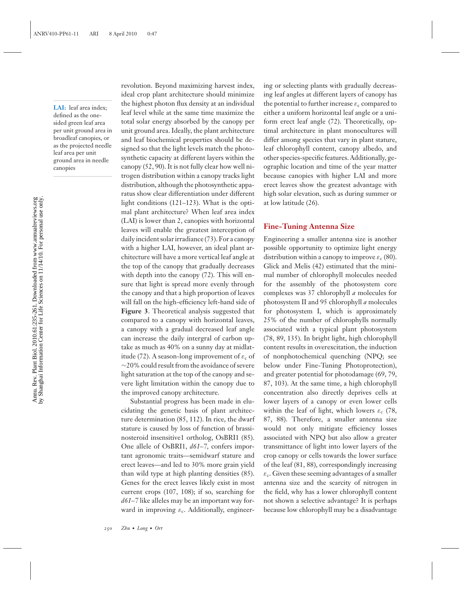**LAI:** leaf area index; defined as the onesided green leaf area per unit ground area in broadleaf canopies, or as the projected needle leaf area per unit ground area in needle canopies

revolution. Beyond maximizing harvest index, ideal crop plant architecture should minimize the highest photon flux density at an individual leaf level while at the same time maximize the total solar energy absorbed by the canopy per unit ground area. Ideally, the plant architecture and leaf biochemical properties should be designed so that the light levels match the photosynthetic capacity at different layers within the canopy (52, 90). It is not fully clear how well nitrogen distribution within a canopy tracks light distribution, although the photosynthetic apparatus show clear differentiation under different light conditions (121–123). What is the optimal plant architecture? When leaf area index (LAI) is lower than 2, canopies with horizontal leaves will enable the greatest interception of daily incident solar irradiance (73). For a canopy with a higher LAI, however, an ideal plant architecture will have a more vertical leaf angle at the top of the canopy that gradually decreases with depth into the canopy (72). This will ensure that light is spread more evenly through the canopy and that a high proportion of leaves will fall on the high-efficiency left-hand side of **Figure 3**. Theoretical analysis suggested that compared to a canopy with horizontal leaves, a canopy with a gradual decreased leaf angle can increase the daily intergral of carbon uptake as much as 40% on a sunny day at midlatitude (72). A season-long improvement of  $\varepsilon_c$  of ∼20% could result from the avoidance of severe light saturation at the top of the canopy and severe light limitation within the canopy due to the improved canopy architecture.

Substantial progress has been made in elucidating the genetic basis of plant architecture determination (85, 112). In rice, the dwarf stature is caused by loss of function of brassinosteroid insensitive1 ortholog, OsBRI1 (85). One allele of OsBRI1, *d61*–*7*, confers important agronomic traits—semidwarf stature and erect leaves—and led to 30% more grain yield than wild type at high planting densities (85). Genes for the erect leaves likely exist in most current crops (107, 108); if so, searching for *d61*–*7* like alleles may be an important way forward in improving  $\varepsilon_c$ . Additionally, engineering or selecting plants with gradually decreasing leaf angles at different layers of canopy has the potential to further increase  $\varepsilon_c$  compared to either a uniform horizontal leaf angle or a uniform erect leaf angle (72). Theoretically, optimal architecture in plant monocultures will differ among species that vary in plant stature, leaf chlorophyll content, canopy albedo, and other species-specific features. Additionally, geographic location and time of the year matter because canopies with higher LAI and more erect leaves show the greatest advantage with high solar elevation, such as during summer or at low latitude (26).

#### **Fine-Tuning Antenna Size**

Engineering a smaller antenna size is another possible opportunity to optimize light energy distribution within a canopy to improve  $\varepsilon_c$  (80). Glick and Melis (42) estimated that the minimal number of chlorophyll molecules needed for the assembly of the photosystem core complexes was 37 chlorophyll *a* molecules for photosystem II and 95 chlorophyll *a* molecules for photosystem I, which is approximately 25% of the number of chlorophylls normally associated with a typical plant photosystem (78, 89, 135). In bright light, high chlorophyll content results in overexcitation, the induction of nonphotochemical quenching (NPQ; see below under Fine-Tuning Photoprotection), and greater potential for photodamage (69, 79, 87, 103). At the same time, a high chlorophyll concentration also directly deprives cells at lower layers of a canopy or even lower cells within the leaf of light, which lowers  $\varepsilon_c$  (78, 87, 88). Therefore, a smaller antenna size would not only mitigate efficiency losses associated with NPQ but also allow a greater transmittance of light into lower layers of the crop canopy or cells towards the lower surface of the leaf (81, 88), correspondingly increasing  $\varepsilon_c$ . Given these seeming advantages of a smaller antenna size and the scarcity of nitrogen in the field, why has a lower chlorophyll content not shown a selective advantage? It is perhaps because low chlorophyll may be a disadvantage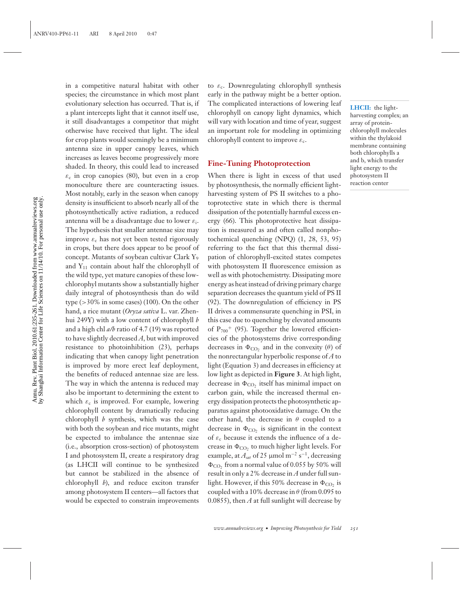in a competitive natural habitat with other species; the circumstance in which most plant evolutionary selection has occurred. That is, if a plant intercepts light that it cannot itself use, it still disadvantages a competitor that might otherwise have received that light. The ideal for crop plants would seemingly be a minimum antenna size in upper canopy leaves, which increases as leaves become progressively more shaded. In theory, this could lead to increased  $\varepsilon_c$  in crop canopies (80), but even in a crop monoculture there are counteracting issues. Most notably, early in the season when canopy density is insufficient to absorb nearly all of the photosynthetically active radiation, a reduced antenna will be a disadvantage due to lower  $\varepsilon_i$ . The hypothesis that smaller antennae size may improve  $\varepsilon_c$  has not yet been tested rigorously in crops, but there does appear to be proof of concept. Mutants of soybean cultivar Clark Y9 and  $Y_{11}$  contain about half the chlorophyll of the wild type, yet mature canopies of these lowchlorophyl mutants show a substantially higher daily integral of photosynthesis than do wild type (>30% in some cases) (100). On the other hand, a rice mutant (*Oryza sativa* L. var. Zhenhui 249Y) with a low content of chlorophyll *b* and a high chl *a/b* ratio of 4.7 (19) was reported to have slightly decreased *A*, but with improved resistance to photoinhibition (23), perhaps indicating that when canopy light penetration is improved by more erect leaf deployment, the benefits of reduced antennae size are less. The way in which the antenna is reduced may also be important to determining the extent to which  $\varepsilon_c$  is improved. For example, lowering chlorophyll content by dramatically reducing chlorophyll *b* synthesis, which was the case with both the soybean and rice mutants, might be expected to imbalance the antennae size (i.e., absorption cross-section) of photosystem I and photosystem II, create a respiratory drag (as LHCII will continue to be synthesized but cannot be stabilized in the absence of chlorophyll *b*), and reduce exciton transfer among photosystem II centers—all factors that would be expected to constrain improvements to  $\varepsilon_c$ . Downregulating chlorophyll synthesis early in the pathway might be a better option. The complicated interactions of lowering leaf chlorophyll on canopy light dynamics, which will vary with location and time of year, suggest an important role for modeling in optimizing chlorophyll content to improve  $\varepsilon_c$ .

#### **Fine-Tuning Photoprotection**

When there is light in excess of that used by photosynthesis, the normally efficient lightharvesting system of PS II switches to a photoprotective state in which there is thermal dissipation of the potentially harmful excess energy (66). This photoprotective heat dissipation is measured as and often called nonphotochemical quenching (NPQ) (1, 28, 53, 95) referring to the fact that this thermal dissipation of chlorophyll-excited states competes with photosystem II fluorescence emission as well as with photochemistrty. Dissipating more energy as heat instead of driving primary charge separation decreases the quantum yield of PS II (92). The downregulation of efficiency in PS II drives a commensurate quenching in PSI, in this case due to quenching by elevated amounts of  $P_{700}$ <sup>+</sup> (95). Together the lowered efficiencies of the photosystems drive corresponding decreases in  $\Phi_{\text{CO}_2}$  and in the convexity (θ) of the nonrectangular hyperbolic response of *A* to light (Equation 3) and decreases in efficiency at low light as depicted in **Figure 3**. At high light, decrease in  $\Phi_{\text{CO}_2}$  itself has minimal impact on carbon gain, while the increased thermal energy dissipation protects the photosynthetic apparatus against photooxidative damage. On the other hand, the decrease in  $\theta$  coupled to a decrease in  $\Phi_{\text{CO}_2}$  is significant in the context of  $\varepsilon_c$  because it extends the influence of a decrease in  $\Phi_{\text{CO}_2}$  to much higher light levels. For example, at  $A_{sat}$  of 25 µmol m<sup>-2</sup> s<sup>-1</sup>, decreasing  $\Phi_{\text{CO}_2}$  from a normal value of 0.055 by 50% will result in only a 2% decrease in *A* under full sunlight. However, if this 50% decrease in  $\Phi_{\text{CO}_2}$  is coupled with a 10% decrease in  $\theta$  (from 0.095 to 0.0855), then *A* at full sunlight will decrease by

**LHCII:** the lightharvesting complex; an array of proteinchlorophyll molecules within the thylakoid membrane containing both chlorophylls a and b, which transfer light energy to the photosystem II reaction center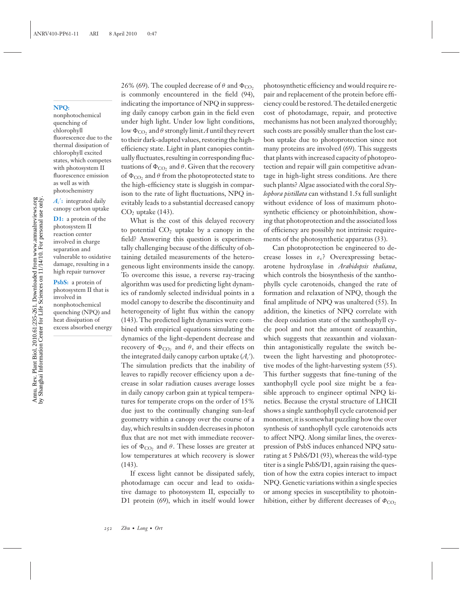#### **NPQ:**

nonphotochemical quenching of chlorophyll fluorescence due to the thermal dissipation of chlorophyll excited states, which competes with photosystem II fluorescence emission as well as with photochemistry

 $A_c$ : integrated daily canopy carbon uptake

**D1:** a protein of the photosystem II reaction center involved in charge separation and vulnerable to oxidative damage, resulting in a high repair turnover **PsbS:** a protein of

photosystem II that is involved in nonphotochemical quenching (NPQ) and heat dissipation of excess absorbed energy

26% (69). The coupled decrease of  $\theta$  and  $\Phi_{\text{CO}_2}$ is commonly encountered in the field (94), indicating the importance of NPQ in suppressing daily canopy carbon gain in the field even under high light. Under low light conditions, low  $\Phi_{\text{CO}_2}$  and  $\theta$  strongly limit A until they revert to their dark-adapted values, restoring the highefficiency state. Light in plant canopies continually fluctuates, resulting in corresponding fluctuations of  $\Phi_{\text{CO}_2}$  and  $\theta$ . Given that the recovery of  $\Phi_{\text{CO}_2}$  and  $\theta$  from the photoprotected state to the high-efficiency state is sluggish in comparison to the rate of light fluctuations, NPQ inevitably leads to a substantial decreased canopy  $CO<sub>2</sub>$  uptake (143).

What is the cost of this delayed recovery to potential  $CO<sub>2</sub>$  uptake by a canopy in the field? Answering this question is experimentally challenging because of the difficulty of obtaining detailed measurements of the heterogeneous light environments inside the canopy. To overcome this issue, a reverse ray-tracing algorithm was used for predicting light dynamics of randomly selected individual points in a model canopy to describe the discontinuity and heterogeneity of light flux within the canopy (143). The predicted light dynamics were combined with empirical equations simulating the dynamics of the light-dependent decrease and recovery of  $\Phi_{\text{CO}_2}$  and  $\theta$ , and their effects on the integrated daily canopy carbon uptake  $(A_{c}')$ . The simulation predicts that the inability of leaves to rapidly recover efficiency upon a decrease in solar radiation causes average losses in daily canopy carbon gain at typical temperatures for temperate crops on the order of 15% due just to the continually changing sun-leaf geometry within a canopy over the course of a day, which results in sudden decreases in photon flux that are not met with immediate recoveries of  $\Phi_{\text{CO}_2}$  and  $\theta$ . These losses are greater at low temperatures at which recovery is slower (143).

If excess light cannot be dissipated safely, photodamage can occur and lead to oxidative damage to photosystem II, especially to D1 protein (69), which in itself would lower photosynthetic efficiency and would require repair and replacement of the protein before efficiency could be restored. The detailed energetic cost of photodamage, repair, and protective mechanisms has not been analyzed thoroughly; such costs are possibly smaller than the lost carbon uptake due to photoprotection since not many proteins are involved (69). This suggests that plants with increased capacity of photoprotection and repair will gain competitive advantage in high-light stress conditions. Are there such plants? Algae associated with the coral *Stylophora pistillata* can withstand 1.5x full sunlight without evidence of loss of maximum photosynthetic efficiency or photoinhibition, showing that photoprotection and the associated loss of efficiency are possibly not intrinsic requirements of the photosynthetic apparatus (33).

Can photoprotection be engineered to decrease losses in  $\varepsilon_c$ ? Overexpressing betacarotene hydroxylase in *Arabidopsis thaliana*, which controls the biosynthesis of the xanthophylls cycle carotenoids, changed the rate of formation and relaxation of NPQ, though the final amplitude of NPQ was unaltered (55). In addition, the kinetics of NPQ correlate with the deep oxidation state of the xanthophyll cycle pool and not the amount of zeaxanthin, which suggests that zeaxanthin and violaxanthin antagonistically regulate the switch between the light harvesting and photoprotective modes of the light-harvesting system (55). This further suggests that fine-tuning of the xanthophyll cycle pool size might be a feasible approach to engineer optimal NPQ kinetics. Because the crystal structure of LHCII shows a single xanthophyll cycle carotenoid per monomer, it is somewhat puzzling how the over synthesis of xanthophyll cycle carotenoids acts to affect NPQ. Along similar lines, the overexpression of PsbS induces enhanced NPQ saturating at 5 PsbS/D1 (93), whereas the wild-type titer is a single PsbS/D1, again raising the question of how the extra copies interact to impact NPQ. Genetic variations within a single species or among species in susceptibility to photoinhibition, either by different decreases of  $\Phi_{\text{CO}}$ ,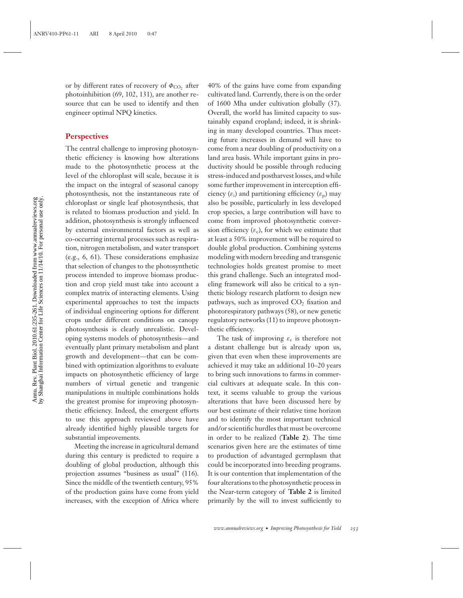Annu. Rev. Plant Biol. 2010.61:235-261. Downloaded from www.annualreviews.org<br>by Shanghai Information Center for Life Sciences on 11/14/10. For personal use only. by Shanghai Information Center for Life Sciences on 11/14/10. For personal use only.Annu. Rev. Plant Biol. 2010.61:235-261. Downloaded from www.annualreviews.org

or by different rates of recovery of  $\Phi_{\text{CO}}$ , after photoinhibition (69, 102, 131), are another resource that can be used to identify and then engineer optimal NPQ kinetics.

#### **Perspectives**

The central challenge to improving photosynthetic efficiency is knowing how alterations made to the photosynthetic process at the level of the chloroplast will scale, because it is the impact on the integral of seasonal canopy photosynthesis, not the instantaneous rate of chloroplast or single leaf photosynthesis, that is related to biomass production and yield. In addition, photosynthesis is strongly influenced by external environmental factors as well as co-occurring internal processes such as respiration, nitrogen metabolism, and water transport (e.g., 6, 61). These considerations emphasize that selection of changes to the photosynthetic process intended to improve biomass production and crop yield must take into account a complex matrix of interacting elements. Using experimental approaches to test the impacts of individual engineering options for different crops under different conditions on canopy photosynthesis is clearly unrealistic. Developing systems models of photosynthesis—and eventually plant primary metabolism and plant growth and development—that can be combined with optimization algorithms to evaluate impacts on photosynthetic efficiency of large numbers of virtual genetic and trangenic manipulations in multiple combinations holds the greatest promise for improving photosynthetic efficiency. Indeed, the emergent efforts to use this approach reviewed above have already identified highly plausible targets for substantial improvements.

Meeting the increase in agricultural demand during this century is predicted to require a doubling of global production, although this projection assumes "business as usual" (116). Since the middle of the twentieth century, 95% of the production gains have come from yield increases, with the exception of Africa where 40% of the gains have come from expanding cultivated land. Currently, there is on the order of 1600 Mha under cultivation globally (37). Overall, the world has limited capacity to sustainably expand cropland; indeed, it is shrinking in many developed countries. Thus meeting future increases in demand will have to come from a near doubling of productivity on a land area basis. While important gains in productivity should be possible through reducing stress-induced and postharvest losses, and while some further improvement in interception efficiency  $(\varepsilon_i)$  and partitioning efficiency  $(\varepsilon_p)$  may also be possible, particularly in less developed crop species, a large contribution will have to come from improved photosynthetic conversion efficiency  $(\varepsilon_c)$ , for which we estimate that at least a 50% improvement will be required to double global production. Combining systems modeling with modern breeding and transgenic technologies holds greatest promise to meet this grand challenge. Such an integrated modeling framework will also be critical to a synthetic biology research platform to design new pathways, such as improved  $CO<sub>2</sub>$  fixation and photorespiratory pathways (58), or new genetic regulatory networks (11) to improve photosynthetic efficiency.

The task of improving  $\varepsilon_c$  is therefore not a distant challenge but is already upon us, given that even when these improvements are achieved it may take an additional 10–20 years to bring such innovations to farms in commercial cultivars at adequate scale. In this context, it seems valuable to group the various alterations that have been discussed here by our best estimate of their relative time horizon and to identify the most important technical and/or scientific hurdles that must be overcome in order to be realized (**Table 2**). The time scenarios given here are the estimates of time to production of advantaged germplasm that could be incorporated into breeding programs. It is our contention that implementation of the four alterations to the photosynthetic process in the Near-term category of **Table 2** is limited primarily by the will to invest sufficiently to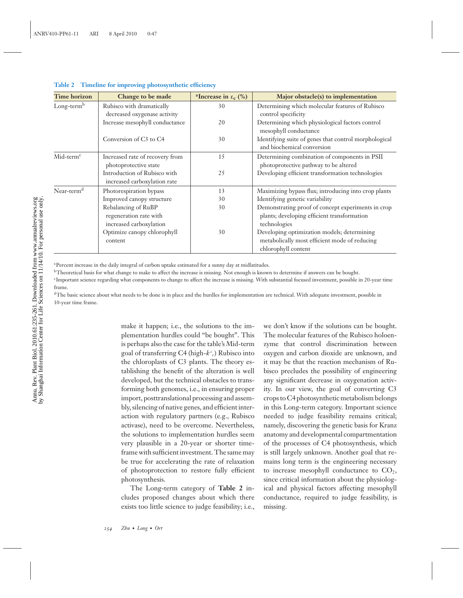| <b>Time horizon</b>    | Change to be made                                                        | <sup>a</sup> Increase in $\epsilon_c$ (%) | Major obstacle(s) to implementation                                                                                 |
|------------------------|--------------------------------------------------------------------------|-------------------------------------------|---------------------------------------------------------------------------------------------------------------------|
| $Long-termb$           | Rubisco with dramatically<br>decreased oxygenase activity                | 30                                        | Determining which molecular features of Rubisco<br>control specificity                                              |
|                        | Increase mesophyll conductance                                           | 20                                        | Determining which physiological factors control<br>mesophyll conductance                                            |
|                        | Conversion of C <sub>3</sub> to C <sub>4</sub>                           | 30                                        | Identifying suite of genes that control morphological<br>and biochemical conversion                                 |
| $Mid-termc$            | Increased rate of recovery from<br>photoprotective state                 | 15                                        | Determining combination of components in PSII<br>photoprotective pathway to be altered                              |
|                        | Introduction of Rubisco with<br>increased carboxylation rate             | 25                                        | Developing efficient transformation technologies                                                                    |
| Near-term <sup>d</sup> | Photorespiration bypass                                                  | 13                                        | Maximizing bypass flux; introducing into crop plants                                                                |
|                        | Improved canopy structure                                                | 30                                        | Identifying genetic variability                                                                                     |
|                        | Rebalancing of RuBP<br>regeneration rate with<br>increased carboxylation | 30                                        | Demonstrating proof of concept experiments in crop<br>plants; developing efficient transformation<br>technologies   |
|                        | Optimize canopy chlorophyll<br>content                                   | 30                                        | Developing optimization models; determining<br>metabolically most efficient mode of reducing<br>chlorophyll content |

#### **Table 2 Timeline for improving photosynthetic efficiency**

<sup>a</sup>Percent increase in the daily integral of carbon uptake estimated for a sunny day at midlatitudes.

<sup>b</sup>Theoretical basis for what change to make to affect the increase is missing. Not enough is known to determine if answers can be bought.

cImportant science regarding what components to change to affect the increase is missing. With substantial focused investment, possible in 20-year time frame.

<sup>d</sup>The basic science about what needs to be done is in place and the hurdles for implementation are technical. With adequate investment, possible in 10-year time frame.

> make it happen; i.e., the solutions to the implementation hurdles could "be bought". This is perhaps also the case for the table's Mid-term goal of transferring C4 (high-*k <sup>c</sup> <sup>c</sup>*) Rubisco into the chloroplasts of C3 plants. The theory establishing the benefit of the alteration is well developed, but the technical obstacles to transforming both genomes, i.e., in ensuring proper import, posttranslational processing and assembly, silencing of native genes, and efficient interaction with regulatory partners (e.g., Rubisco activase), need to be overcome. Nevertheless, the solutions to implementation hurdles seem very plausible in a 20-year or shorter timeframe with sufficient investment. The same may be true for accelerating the rate of relaxation of photoprotection to restore fully efficient photosynthesis.

> The Long-term category of **Table 2** includes proposed changes about which there exists too little science to judge feasibility; i.e.,

we don't know if the solutions can be bought. The molecular features of the Rubisco holoenzyme that control discrimination between oxygen and carbon dioxide are unknown, and it may be that the reaction mechanism of Rubisco precludes the possibility of engineering any significant decrease in oxygenation activity. In our view, the goal of converting C3 crops to C4 photosynthetic metabolism belongs in this Long-term category. Important science needed to judge feasibility remains critical; namely, discovering the genetic basis for Kranz anatomy and developmental compartmentation of the processes of C4 photosynthesis, which is still largely unknown. Another goal that remains long term is the engineering necessary to increase mesophyll conductance to  $CO<sub>2</sub>$ , since critical information about the physiological and physical factors affecting mesophyll conductance, required to judge feasibility, is missing.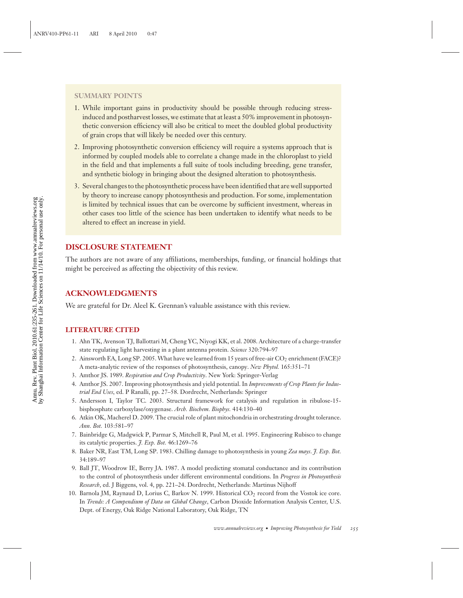#### **SUMMARY POINTS**

- 1. While important gains in productivity should be possible through reducing stressinduced and postharvest losses, we estimate that at least a 50% improvement in photosynthetic conversion efficiency will also be critical to meet the doubled global productivity of grain crops that will likely be needed over this century.
- 2. Improving photosynthetic conversion efficiency will require a systems approach that is informed by coupled models able to correlate a change made in the chloroplast to yield in the field and that implements a full suite of tools including breeding, gene transfer, and synthetic biology in bringing about the designed alteration to photosynthesis.
- 3. Several changes to the photosynthetic process have been identified that are well supported by theory to increase canopy photosynthesis and production. For some, implementation is limited by technical issues that can be overcome by sufficient investment, whereas in other cases too little of the science has been undertaken to identify what needs to be altered to effect an increase in yield.

## **DISCLOSURE STATEMENT**

The authors are not aware of any affiliations, memberships, funding, or financial holdings that might be perceived as affecting the objectivity of this review.

### **ACKNOWLEDGMENTS**

We are grateful for Dr. Aleel K. Grennan's valuable assistance with this review.

#### **LITERATURE CITED**

- 1. Ahn TK, Avenson TJ, Ballottari M, Cheng YC, Niyogi KK, et al. 2008. Architecture of a charge-transfer state regulating light harvesting in a plant antenna protein. *Science* 320:794–97
- 2. Ainsworth EA, Long SP. 2005. What have we learned from 15 years of free-air CO<sub>2</sub> enrichment (FACE)? A meta-analytic review of the responses of photosynthesis, canopy. *New Phytol.* 165:351–71
- 3. Amthor JS. 1989. *Respiration and Crop Productivity*. New York: Springer-Verlag
- 4. Amthor JS. 2007. Improving photosynthesis and yield potential. In *Improvements of Crop Plants for Industrial End Uses*, ed. P Ranalli, pp. 27–58. Dordrecht, Netherlands: Springer
- 5. Andersson I, Taylor TC. 2003. Structural framework for catalysis and regulation in ribulose-15 bisphosphate carboxylase/oxygenase. *Arch. Biochem. Biophys.* 414:130–40
- 6. Atkin OK, Macherel D. 2009. The crucial role of plant mitochondria in orchestrating drought tolerance. *Ann. Bot.* 103:581–97
- 7. Bainbridge G, Madgwick P, Parmar S, Mitchell R, Paul M, et al. 1995. Engineering Rubisco to change its catalytic properties. *J. Exp. Bot.* 46:1269–76
- 8. Baker NR, East TM, Long SP. 1983. Chilling damage to photosynthesis in young *Zea mays*. *J. Exp. Bot.* 34:189–97
- 9. Ball JT, Woodrow IE, Berry JA. 1987. A model predicting stomatal conductance and its contribution to the control of photosynthesis under different environmental conditions. In *Progress in Photosynthesis Research*, ed. J Biggens, vol. 4, pp. 221–24. Dordrecht, Netherlands: Martinus Nijhoff
- 10. Barnola JM, Raynaud D, Lorius C, Barkov N. 1999. Historical CO<sub>2</sub> record from the Vostok ice core. In *Trends: A Compendium of Data on Global Change*, Carbon Dioxide Information Analysis Center, U.S. Dept. of Energy, Oak Ridge National Laboratory, Oak Ridge, TN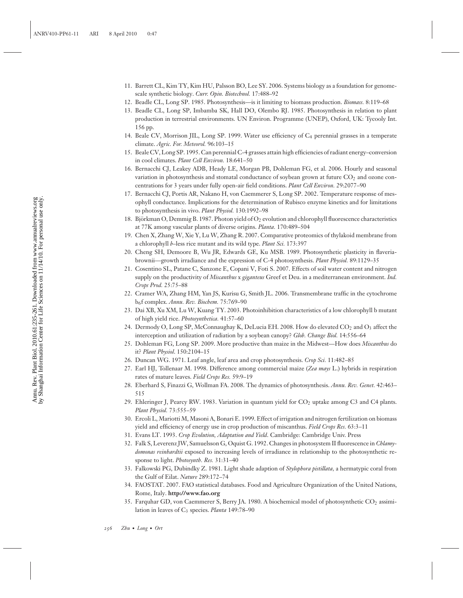- 11. Barrett CL, Kim TY, Kim HU, Palsson BO, Lee SY. 2006. Systems biology as a foundation for genomescale synthetic biology. *Curr. Opin. Biotechnol.* 17:488–92
- 12. Beadle CL, Long SP. 1985. Photosynthesis—is it limiting to biomass production. *Biomass.* 8:119–68
- 13. Beadle CL, Long SP, Imbamba SK, Hall DO, Olembo RJ. 1985. Photosynthesis in relation to plant production in terrestrial environments. UN Environ. Programme (UNEP), Oxford, UK: Tycooly Int. 156 pp.
- 14. Beale CV, Morrison JIL, Long SP. 1999. Water use efficiency of C4 perennial grasses in a temperate climate. *Agric. For. Meteorol.* 96:103–15
- 15. Beale CV, Long SP. 1995. Can perennial C-4 grasses attain high efficiencies of radiant energy–conversion in cool climates. *Plant Cell Environ.* 18:641–50
- 16. Bernacchi CJ, Leakey ADB, Heady LE, Morgan PB, Dohleman FG, et al. 2006. Hourly and seasonal variation in photosynthesis and stomatal conductance of soybean grown at future  $CO<sub>2</sub>$  and ozone concentrations for 3 years under fully open-air field conditions. *Plant Cell Environ.* 29:2077–90
- 17. Bernacchi CJ, Portis AR, Nakano H, von Caemmerer S, Long SP. 2002. Temperature response of mesophyll conductance. Implications for the determination of Rubisco enzyme kinetics and for limitations to photosynthesis in vivo. *Plant Physiol.* 130:1992–98
- 18. Björkman O, Demmig B. 1987. Photon yield of O<sub>2</sub> evolution and chlorophyll fluorescence characteristics at 77K among vascular plants of diverse origins. *Planta.* 170:489–504
- 19. Chen X, Zhang W, Xie Y, Lu W, Zhang R. 2007. Comparative proteomics of thylakoid membrane from a chlorophyll *b*–less rice mutant and its wild type. *Plant Sci.* 173:397
- 20. Cheng SH, Demoore B, Wu JR, Edwards GE, Ku MSB. 1989. Photosynthetic plasticity in flaveriabrownii—growth irradiance and the expression of C-4 photosynthesis. *Plant Physiol.* 89:1129–35
- 21. Cosentino SL, Patane C, Sanzone E, Copani V, Foti S. 2007. Effects of soil water content and nitrogen supply on the productivity of *Miscanthus* x *giganteus* Greef et Deu. in a mediterranean environment. *Ind. Crops Prod.* 25:75–88
- 22. Cramer WA, Zhang HM, Yan JS, Kurisu G, Smith JL. 2006. Transmembrane traffic in the cytochrome b6f complex. *Annu. Rev. Biochem.* 75:769–90
- 23. Dai XB, Xu XM, Lu W, Kuang TY. 2003. Photoinhibition characteristics of a low chlorophyll b mutant of high yield rice. *Photosynthetica.* 41:57–60
- 24. Dermody O, Long SP, McConnaughay K, DeLucia EH. 2008. How do elevated CO<sub>2</sub> and O<sub>3</sub> affect the interception and utilization of radiation by a soybean canopy? *Glob. Change Biol.* 14:556–64
- 25. Dohleman FG, Long SP. 2009. More productive than maize in the Midwest—How does *Miscanthus* do it? *Plant Physiol*. 150:2104–15
- 26. Duncan WG. 1971. Leaf angle, leaf area and crop photosynthesis. *Crop Sci.* 11:482–85
- 27. Earl HJ, Tollenaar M. 1998. Difference among commercial maize (*Zea mays* L.) hybrids in respiration rates of mature leaves. *Field Crops Res.* 59:9–19
- 28. Eberhard S, Finazzi G, Wollman FA. 2008. The dynamics of photosynthesis. *Annu. Rev. Genet.* 42:463– 515
- 29. Ehleringer J, Pearcy RW. 1983. Variation in quantum yield for CO<sub>2</sub> uptake among C3 and C4 plants. *Plant Physiol.* 73:555–59
- 30. Ercoli L, Mariotti M, Masoni A, Bonari E. 1999. Effect of irrigation and nitrogen fertilization on biomass yield and efficiency of energy use in crop production of miscanthus. *Field Crops Res.* 63:3–11
- 31. Evans LT. 1993. *Crop Evolution, Adaptation and Yield*. Cambridge: Cambridge Univ. Press
- 32. Falk S, Leverenz JW, Samuelsson G, Oquist G. 1992. Changes in photosystem II fluorescence in *Chlamydomonas reinhardtii* exposed to increasing levels of irradiance in relationship to the photosynthetic response to light. *Photosynth. Res.* 31:31–40
- 33. Falkowski PG, Dubindky Z. 1981. Light shade adaption of *Stylophora pistillata,* a hermatypic coral from the Gulf of Eilat. *Nature* 289:172–74
- 34. FAOSTAT. 2007. FAO statistical databases. Food and Agriculture Organization of the United Nations, Rome, Italy. **http://www.fao.org**
- 35. Farquhar GD, von Caemmerer S, Berry JA. 1980. A biochemical model of photosynthetic CO2 assimilation in leaves of C<sub>3</sub> species. *Planta* 149:78–90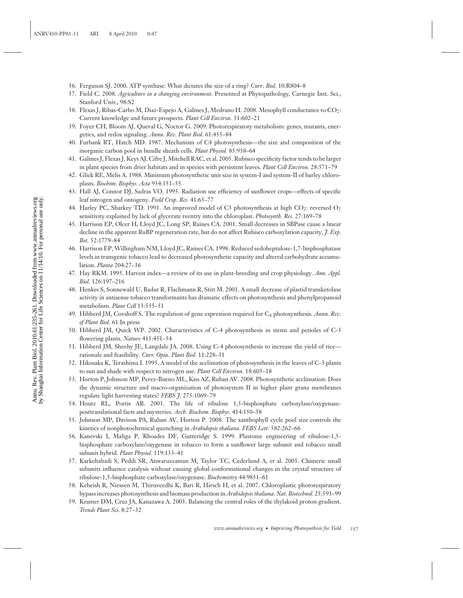- 36. Ferguson SJ. 2000. ATP synthase: What dictates the size of a ring? *Curr*. *Biol.* 10:R804–8
- 37. Field C. 2008. *Agriculture in a changing environment*. Presented at Phytopathology, Carnegie Inst. Sci., Stanford Univ., 98:S2
- 38. Flexas J, Ribas-Carbo M, Diaz-Espejo A, Galmes J, Medrano H. 2008. Mesophyll conductance to CO2: Current knowledge and future prospects. *Plant Cell Environ.* 31:602–21
- 39. Foyer CH, Bloom AJ, Queval G, Noctor G. 2009. Photorespiratory metabolism: genes, mutants, energetics, and redox signaling. *Annu. Rev. Plant Biol.* 61:455–84
- 40. Furbank RT, Hatch MD. 1987. Mechanism of C4 photosynthesis—the size and composition of the inorganic carbon pool in bundle sheath cells. *Plant Physiol.* 85:958–64
- 41. Galmes J, Flexas J, Keys AJ, Cifre J, Mitchell RAC, et al. 2005. Rubisco specificity factor tends to be larger in plant species from drier habitats and in species with persistent leaves. *Plant Cell Environ.* 28:571–79
- 42. Glick RE, Melis A. 1988. Minimum photosynthetic unit size in system-I and system-II of barley chloroplasts. *Biochim. Biophys. Acta* 934:151–55
- 43. Hall AJ, Connor DJ, Sadras VO. 1995. Radiation use efficiency of sunflower crops—effects of specific leaf nitrogen and ontogeny. *Field Crop. Res.* 41:65–77
- 44. Harley PC, Sharkey TD. 1991. An improved model of C3 photosynthesis at high CO<sub>2</sub>: reversed O<sub>2</sub> sensitivity explained by lack of glycerate reentry into the chloroplast. *Photosynth. Res.* 27:169–78
- 45. Harrison EP, Olcer H, Lloyd JC, Long SP, Raines CA. 2001. Small decreases in SBPase cause a linear decline in the apparent RuBP regeneration rate, but do not affect Rubisco carboxylation capacity. *J. Exp. Bot.* 52:1779–84
- 46. Harrison EP, Willingham NM, Lloyd JC, Raines CA. 1998. Reduced sedoheptulose-1,7-bisphosphatase levels in transgenic tobacco lead to decreased photosynthetic capacity and altered carbohydrate accumulation. *Planta* 204:27–36
- 47. Hay RKM. 1995. Harvest index—a review of its use in plant-breeding and crop physiology. *Ann. Appl. Biol.* 126:197–216
- 48. Henkes S, Sonnewald U, Badur R, Flachmann R, Stitt M. 2001. A small decrease of plastid transketolase activity in antisense tobacco transformants has dramatic effects on photosynthesis and phenylpropanoid metabolism. *Plant Cell* 13:535–51
- 49. Hibberd JM, Covshoff S. The regulation of gene expression required for C4 photosynthesis. *Annu. Rev. of Plant Biol.* 61:In press
- 50. Hibberd JM, Quick WP. 2002. Characteristics of C-4 photosynthesis in stems and petioles of C-3 flowering plants. *Nature* 415:451–54
- 51. Hibberd JM, Sheehy JE, Langdale JA. 2008. Using C-4 photosynthesis to increase the yield of rice rationale and feasibility. *Curr. Opin. Plant Biol.* 11:228–31
- 52. Hikosaka K, Terashima I. 1995. A model of the acclimation of photosynthesis in the leaves of C-3 plants to sun and shade with respect to nitrogen use. *Plant Cell Environ.* 18:605–18
- 53. Horton P, Johnson MP, Perez-Bueno ML, Kiss AZ, Ruban AV. 2008. Photosynthetic acclimation: Does the dynamic structure and macro-organization of photosystem II in higher plant grana membranes regulate light harvesting states? *FEBS J*. 275:1069–79
- 54. Houtz RL, Portis AR. 2003. The life of ribulose 1,5-bisphosphate carboxylase/oxygenaseposttranslational facts and mysteries. *Arch. Biochem. Biophys.* 414:150–58
- 55. Johnson MP, Davison PA, Ruban AV, Horton P. 2008. The xanthophyll cycle pool size controls the kinetics of nonphotochemical quenching in *Arabidopsis thaliana*. *FEBS Lett.* 582:262–66
- 56. Kanevski I, Maliga P, Rhoades DF, Gutteridge S. 1999. Plastome engineering of ribulose-1,5 bisphosphate carboxylase/oxygenase in tobacco to form a sunflower large subunit and tobacco small subunit hybrid. *Plant Physiol.* 119:133–41
- 57. Karkehabadi S, Peddi SR, Anwaruzzaman M, Taylor TC, Cederlund A, et al. 2005. Chimeric small subunits influence catalysis without causing global conformational changes in the crystal structure of ribulose-1,5-bisphosphate carboxylase/oxygenase. *Biochemistry* 44:9851–61
- 58. Kebeish R, Niessen M, Thiruveedhi K, Bari R, Hirsch H, et al. 2007. Chloroplastic photorespiratory bypass increases photosynthesis and biomass production in*Arabidopsis thaliana*. *Nat. Biotechnol.* 25:593–99
- 59. Kramer DM, Cruz JA, Kanazawa A. 2003. Balancing the central roles of the thylakoid proton gradient. *Trends Plant Sci.* 8:27–32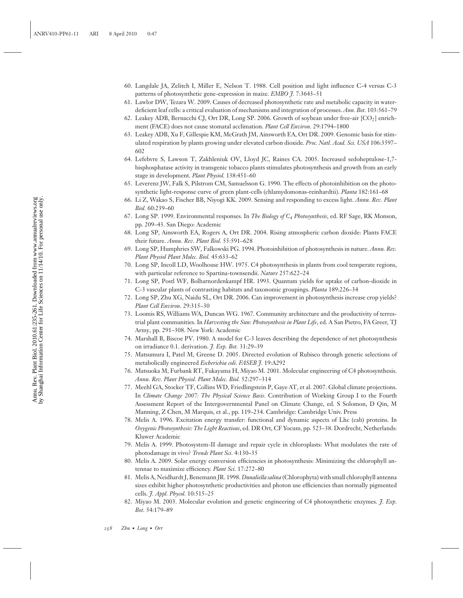- 60. Langdale JA, Zelitch I, Miller E, Nelson T. 1988. Cell position and light influence C-4 versus C-3 patterns of photosynthetic gene-expression in maize. *EMBO J.* 7:3643–51
- 61. Lawlor DW, Tezara W. 2009. Causes of decreased photosynthetic rate and metabolic capacity in waterdeficient leaf cells: a critical evaluation of mechanisms and integration of processes. *Ann. Bot.* 103:561–79
- 62. Leakey ADB, Bernacchi CJ, Ort DR, Long SP. 2006. Growth of soybean under free-air [CO2] enrichment (FACE) does not cause stomatal acclimation. *Plant Cell Environ.* 29:1794–1800
- 63. Leakey ADB, Xu F, Gillespie KM, McGrath JM, Ainsworth EA, Ort DR. 2009. Genomic basis for stimulated respiration by plants growing under elevated carbon dioxide. *Proc. Natl. Acad. Sci. USA* 106:3597– 602
- 64. Lefebvre S, Lawson T, Zakhleniuk OV, Lloyd JC, Raines CA. 2005. Increased sedoheptulose-1,7 bisphosphatase activity in transgenic tobacco plants stimulates photosynthesis and growth from an early stage in development. *Plant Physiol.* 138:451–60
- 65. Leverenz JW, Falk S, Pilstrom CM, Samuelsson G. 1990. The effects of photoinhibition on the photosynthetic light-response curve of green plant-cells (chlamydomonas-reinhardtii). *Planta* 182:161–68
- 66. Li Z, Wakao S, Fischer BB, Niyogi KK. 2009. Sensing and responding to excess light. *Annu. Rev. Plant Biol.* 60:239–60
- 67. Long SP. 1999. Environmental responses. In *The Biology of C4 Photosynthesis*, ed. RF Sage, RK Monson, pp. 209–43. San Diego: Academic
- 68. Long SP, Ainsworth EA, Rogers A, Ort DR. 2004. Rising atmospheric carbon dioxide: Plants FACE their future. *Annu. Rev. Plant Biol.* 55:591–628
- 69. Long SP, Humphries SW, Falkowski PG. 1994. Photoinhibition of photosynthesis in nature. *Annu. Rev. Plant Physiol Plant Molec. Biol.* 45:633–62
- 70. Long SP, Incoll LD, Woolhouse HW. 1975. C4 photosynthesis in plants from cool temperate regions, with particular reference to Spartina-townsendii. *Nature* 257:622–24
- 71. Long SP, Postl WF, Bolharnordenkampf HR. 1993. Quantum yields for uptake of carbon-dioxide in C-3 vascular plants of contrasting habitats and taxonomic groupings. *Planta* 189:226–34
- 72. Long SP, Zhu XG, Naidu SL, Ort DR. 2006. Can improvement in photosynthesis increase crop yields? *Plant Cell Environ*. 29:315–30
- 73. Loomis RS, Williams WA, Duncan WG. 1967. Community architecture and the productivity of terrestrial plant communities. In *Harvesting the Sun: Photosynthesis in Plant Life*, ed. A San Pietro, FA Greer, TJ Army, pp. 291–308. New York: Academic
- 74. Marshall B, Biscoe PV. 1980. A model for C-3 leaves describing the dependence of net photosynthesis on irradiance 0.1. derivation. *J. Exp. Bot.* 31:29–39
- 75. Matsumura I, Patel M, Greene D. 2005. Directed evolution of Rubisco through genetic selections of metabolically engineered *Escherichia coli*. *FASEB J.* 19:A292
- 76. Matsuoka M, Furbank RT, Fukayama H, Miyao M. 2001. Molecular engineering of C4 photosynthesis. *Annu. Rev. Plant Physiol. Plant Molec. Biol.* 52:297–314
- 77. Meehl GA, Stocker TF, Collins WD, Friedlingstein P, Gaye AT, et al. 2007. Global climate projections. In *Climate Change 2007: The Physical Science Basis*. Contribution of Working Group I to the Fourth Assessment Report of the Intergovernmental Panel on Climate Change, ed. S Solomon, D Qin, M Manning, Z Chen, M Marquis, et al., pp. 119–234. Cambridge: Cambridge Univ. Press
- 78. Melis A. 1996. Excitation energy transfer: functional and dynamic aspects of Lhc (cab) proteins. In *Oxygenic Photosynthesis: The Light Reactions*, ed. DR Ort, CF Yocum, pp. 523–38. Dordrecht, Netherlands: Kluwer Academic
- 79. Melis A. 1999. Photosystem-II damage and repair cycle in chloroplasts: What modulates the rate of photodamage in vivo? *Trends Plant Sci*. 4:130–35
- 80. Melis A. 2009. Solar energy conversion efficiencies in photosynthesis: Minimizing the chlorophyll antennae to maximize efficiency. *Plant Sci.* 17:272–80
- 81. Melis A, Neidhardt J, Benemann JR. 1998. *Dunaliella salina* (Chlorophyta) with small chlorophyll antenna sizes exhibit higher photosynthetic productivities and photon use efficiencies than normally pigmented cells. *J. Appl. Phycol.* 10:515–25
- 82. Miyao M. 2003. Molecular evolution and genetic engineering of C4 photosynthetic enzymes. *J. Exp. Bot.* 54:179–89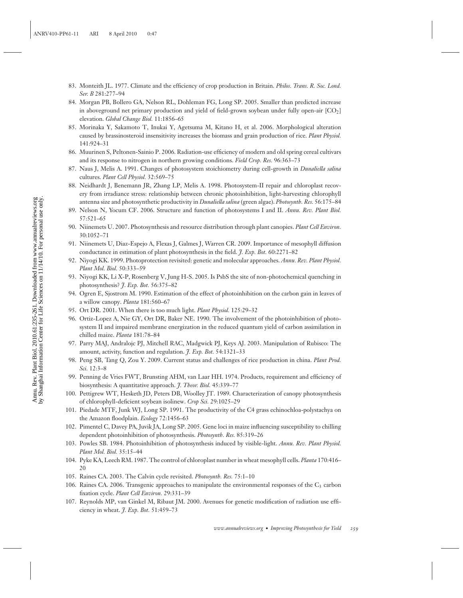- 83. Monteith JL. 1977. Climate and the efficiency of crop production in Britain. *Philos. Trans. R. Soc. Lond. Ser. B* 281:277–94
- 84. Morgan PB, Bollero GA, Nelson RL, Dohleman FG, Long SP. 2005. Smaller than predicted increase in aboveground net primary production and yield of field-grown soybean under fully open-air [CO2] elevation. *Global Change Biol.* 11:1856–65
- 85. Morinaka Y, Sakamoto T, Inukai Y, Agetsuma M, Kitano H, et al. 2006. Morphological alteration caused by brassinosteroid insensitivity increases the biomass and grain production of rice. *Plant Physiol.* 141:924–31
- 86. Muurinen S, Peltonen-Sainio P. 2006. Radiation-use efficiency of modern and old spring cereal cultivars and its response to nitrogen in northern growing conditions. *Field Crop. Res.* 96:363–73
- 87. Naus J, Melis A. 1991. Changes of photosystem stoichiometry during cell-growth in *Dunaliella salina* cultures. *Plant Cell Physiol.* 32:569–75
- 88. Neidhardt J, Benemann JR, Zhang LP, Melis A. 1998. Photosystem-II repair and chloroplast recovery from irradiance stress: relationship between chronic photoinhibition, light-harvesting chlorophyll antenna size and photosynthetic productivity in *Dunaliella salina* (green algae). *Photosynth. Res.* 56:175–84
- 89. Nelson N, Yocum CF. 2006. Structure and function of photosystems I and II. *Annu. Rev. Plant Biol.* 57:521–65
- 90. Niinemets U. 2007. Photosynthesis and resource distribution through plant canopies. *Plant Cell Environ.* 30:1052–71
- 91. Niinemets U, Diaz-Espejo A, Flexas J, Galmes J, Warren CR. 2009. Importance of mesophyll diffusion conductance in estimation of plant photosynthesis in the field. *J. Exp. Bot.* 60:2271–82
- 92. Niyogi KK. 1999. Photoprotection revisited: genetic and molecular approaches. *Annu. Rev. Plant Physiol. Plant Mol. Biol.* 50:333–59
- 93. Niyogi KK, Li X-P, Rosenberg V, Jung H-S. 2005. Is PsbS the site of non-photochemical quenching in photosynthesis? *J*. *Exp. Bot.* 56:375–82
- 94. Ogren E, Sjostrom M. 1990. Estimation of the effect of photoinhibition on the carbon gain in leaves of a willow canopy. *Planta* 181:560–67
- 95. Ort DR. 2001. When there is too much light. *Plant Physiol.* 125:29–32
- 96. Ortiz-Lopez A, Nie GY, Ort DR, Baker NE. 1990. The involvement of the photoinhibition of photosystem II and impaired membrane energization in the reduced quantum yield of carbon assimilation in chilled maize. *Planta* 181:78–84
- 97. Parry MAJ, Andralojc PJ, Mitchell RAC, Madgwick PJ, Keys AJ. 2003. Manipulation of Rubisco: The amount, activity, function and regulation. *J. Exp. Bot.* 54:1321–33
- 98. Peng SB, Tang Q, Zou Y. 2009. Current status and challenges of rice production in china. *Plant Prod. Sci.* 12:3–8
- 99. Penning de Vries FWT, Brunsting AHM, van Laar HH. 1974. Products, requirement and efficiency of biosynthesis: A quantitative approach. *J. Theor. Biol.* 45:339–77
- 100. Pettigrew WT, Hesketh JD, Peters DB, Woolley JT. 1989. Characterization of canopy photosynthesis of chlorophyll-deficient soybean isolinew. *Crop Sci.* 29:1025–29
- 101. Piedade MTF, Junk WJ, Long SP. 1991. The productivity of the C4 grass echinochloa-polystachya on the Amazon floodplain. *Ecology* 72:1456–63
- 102. Pimentel C, Davey PA, Juvik JA, Long SP. 2005. Gene loci in maize influencing susceptibility to chilling dependent photoinhibition of photosynthesis. *Photosynth. Res.* 85:319–26
- 103. Powles SB. 1984. Photoinhibition of photosynthesis induced by visible-light. *Annu. Rev. Plant Physiol. Plant Mol. Biol.* 35:15–44
- 104. Pyke KA, Leech RM. 1987. The control of chloroplast number in wheat mesophyll cells. *Planta* 170:416– 20
- 105. Raines CA. 2003. The Calvin cycle revisited. *Photosynth. Res.* 75:1–10
- 106. Raines CA. 2006. Transgenic approaches to manipulate the environmental responses of the  $C_3$  carbon fixation cycle. *Plant Cell Environ.* 29:331–39
- 107. Reynolds MP, van Ginkel M, Ribaut JM. 2000. Avenues for genetic modification of radiation use efficiency in wheat. *J. Exp. Bot.* 51:459–73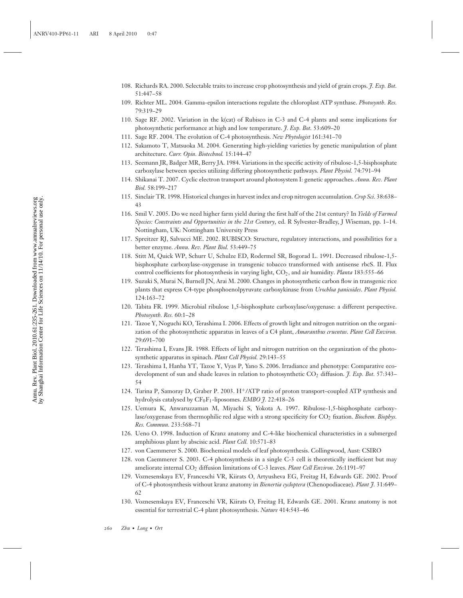- 108. Richards RA. 2000. Selectable traits to increase crop photosynthesis and yield of grain crops. *J. Exp. Bot.* 51:447–58
- 109. Richter ML. 2004. Gamma-epsilon interactions regulate the chloroplast ATP synthase. *Photosynth. Res.* 79:319–29
- 110. Sage RF. 2002. Variation in the k(cat) of Rubisco in C-3 and C-4 plants and some implications for photosynthetic performance at high and low temperature. *J. Exp. Bot.* 53:609–20
- 111. Sage RF. 2004. The evolution of C-4 photosynthesis. *New Phytologist* 161:341–70
- 112. Sakamoto T, Matsuoka M. 2004. Generating high-yielding varieties by genetic manipulation of plant architecture. *Curr. Opin. Biotechnol.* 15:144–47
- 113. Seemann JR, Badger MR, Berry JA. 1984. Variations in the specific activity of ribulose-1,5-bisphosphate carboxylase between species utilizing differing photosynthetic pathways. *Plant Physiol.* 74:791–94
- 114. Shikanai T. 2007. Cyclic electron transport around photosystem I: genetic approaches. *Annu. Rev. Plant Biol.* 58:199–217
- 115. Sinclair TR. 1998. Historical changes in harvest index and crop nitrogen accumulation. *Crop Sci.* 38:638– 43
- 116. Smil V. 2005. Do we need higher farm yield during the first half of the 21st century? In *Yields of Farmed Species: Constraints and Opportunities in the 21st Century*, ed. R Sylvester-Bradley, J Wiseman, pp. 1–14. Nottingham, UK: Nottingham University Press
- 117. Spreitzer RJ, Salvucci ME. 2002. RUBISCO: Structure, regulatory interactions, and possibilities for a better enzyme. *Annu. Rev. Plant Biol.* 53:449–75
- 118. Stitt M, Quick WP, Schurr U, Schulze ED, Rodermel SR, Bogorad L. 1991. Decreased ribulose-1,5 bisphosphate carboxylase-oxygenase in transgenic tobacco transformed with antisense rbcS. II. Flux control coefficients for photosynthesis in varying light, CO2, and air humidity. *Planta* 183:555–66
- 119. Suzuki S, Murai N, Burnell JN, Arai M. 2000. Changes in photosynthetic carbon flow in transgenic rice plants that express C4-type phosphoenolpyruvate carboxykinase from *Urochloa panicoides*. *Plant Physiol.* 124:163–72
- 120. Tabita FR. 1999. Microbial ribulose 1,5-bisphosphate carboxylase/oxygenase: a different perspective. *Photosynth. Res.* 60:1–28
- 121. Tazoe Y, Noguchi KO, Terashima I. 2006. Effects of growth light and nitrogen nutrition on the organization of the photosynthetic apparatus in leaves of a C4 plant, *Amaranthus cruentus*. *Plant Cell Environ.* 29:691–700
- 122. Terashima I, Evans JR. 1988. Effects of light and nitrogen nutrition on the organization of the photosynthetic apparatus in spinach. *Plant Cell Physiol.* 29:143–55
- 123. Terashima I, Hanba YT, Tazoe Y, Vyas P, Yano S. 2006. Irradiance and phenotype: Comparative ecodevelopment of sun and shade leaves in relation to photosynthetic CO<sub>2</sub> diffusion. *J. Exp. Bot.* 57:343-54
- 124. Turina P, Samoray D, Graber P. 2003. H+/ATP ratio of proton transport–coupled ATP synthesis and hydrolysis catalysed by CF<sub>0</sub>F<sub>1</sub>-liposomes. *EMBO J.* 22:418–26
- 125. Uemura K, Anwaruzzaman M, Miyachi S, Yokota A. 1997. Ribulose-1,5-bisphosphate carboxylase/oxygenase from thermophilic red algae with a strong specificity for CO<sub>2</sub> fixation. *Biochem. Biophys. Res. Commun.* 233:568–71
- 126. Ueno O. 1998. Induction of Kranz anatomy and C-4-like biochemical characteristics in a submerged amphibious plant by abscisic acid. *Plant Cell.* 10:571–83
- 127. von Caemmerer S. 2000. Biochemical models of leaf photosynthesis. Collingwood, Aust: CSIRO
- 128. von Caemmerer S. 2003. C-4 photosynthesis in a single C-3 cell is theoretically inefficient but may ameliorate internal CO<sub>2</sub> diffusion limitations of C-3 leaves. *Plant Cell Environ*. 26:1191-97
- 129. Voznesenskaya EV, Franceschi VR, Kiirats O, Artyusheva EG, Freitag H, Edwards GE. 2002. Proof of C-4 photosynthesis without kranz anatomy in *Bienertia cycloptera* (Chenopodiaceae). *Plant J.* 31:649– 62
- 130. Voznesenskaya EV, Franceschi VR, Kiirats O, Freitag H, Edwards GE. 2001. Kranz anatomy is not essential for terrestrial C-4 plant photosynthesis. *Nature* 414:543–46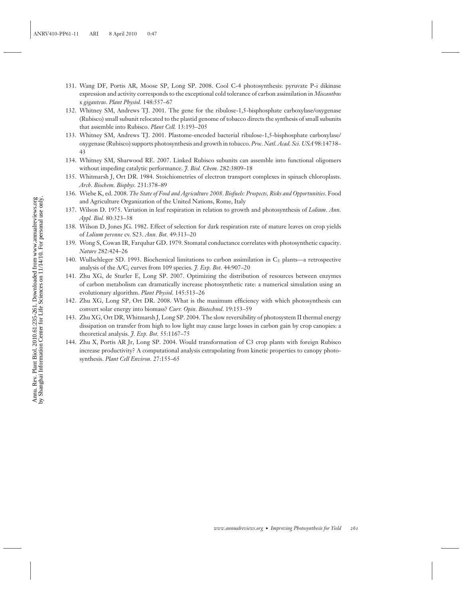- 131. Wang DF, Portis AR, Moose SP, Long SP. 2008. Cool C-4 photosynthesis: pyruvate P-i dikinase expression and activity corresponds to the exceptional cold tolerance of carbon assimilation in *Miscanthus* x *giganteus*. *Plant Physiol.* 148:557–67
- 132. Whitney SM, Andrews TJ. 2001. The gene for the ribulose-1,5-bisphosphate carboxylase/oxygenase (Rubisco) small subunit relocated to the plastid genome of tobacco directs the synthesis of small subunits that assemble into Rubisco. *Plant Cell.* 13:193–205
- 133. Whitney SM, Andrews TJ. 2001. Plastome-encoded bacterial ribulose-1,5-bisphosphate carboxylase/ oxygenase (Rubisco) supports photosynthesis and growth in tobacco. *Proc. Natl. Acad. Sci. USA* 98:14738– 43
- 134. Whitney SM, Sharwood RE. 2007. Linked Rubisco subunits can assemble into functional oligomers without impeding catalytic performance. *J. Biol. Chem.* 282:3809–18
- 135. Whitmarsh J, Ort DR. 1984. Stoichiometries of electron transport complexes in spinach chloroplasts. *Arch. Biochem. Biophys.* 231:378–89
- 136. Wiebe K, ed. 2008. *The State of Food and Agriculture 2008*. *Biofuels: Prospects, Risks and Opportunities*. Food and Agriculture Organization of the United Nations, Rome, Italy
- 137. Wilson D. 1975. Variation in leaf respiration in relation to growth and photosynthesis of *Lolium*. *Ann. Appl. Biol.* 80:323–38
- 138. Wilson D, Jones JG. 1982. Effect of selection for dark respiration rate of mature leaves on crop yields of *Lolium perenne* cv. S23. *Ann. Bot.* 49:313–20
- 139. Wong S, Cowan IR, Farquhar GD. 1979. Stomatal conductance correlates with photosynthetic capacity. *Nature* 282:424–26
- 140. Wullschleger SD. 1993. Biochemical limitations to carbon assimilation in  $C_3$  plants—a retrospective analysis of the A/Ci curves from 109 species. *J. Exp. Bot.* 44:907–20
- 141. Zhu XG, de Sturler E, Long SP. 2007. Optimizing the distribution of resources between enzymes of carbon metabolism can dramatically increase photosynthetic rate: a numerical simulation using an evolutionary algorithm. *Plant Physiol.* 145:513–26
- 142. Zhu XG, Long SP, Ort DR. 2008. What is the maximum efficiency with which photosynthesis can convert solar energy into biomass? *Curr. Opin. Biotechnol*. 19:153–59
- 143. Zhu XG, Ort DR, Whitmarsh J, Long SP. 2004. The slow reversibility of photosystem II thermal energy dissipation on transfer from high to low light may cause large losses in carbon gain by crop canopies: a theoretical analysis. *J. Exp. Bot.* 55:1167–75
- 144. Zhu X, Portis AR Jr, Long SP. 2004. Would transformation of C3 crop plants with foreign Rubisco increase productivity? A computational analysis extrapolating from kinetic properties to canopy photosynthesis. *Plant Cell Environ.* 27:155–65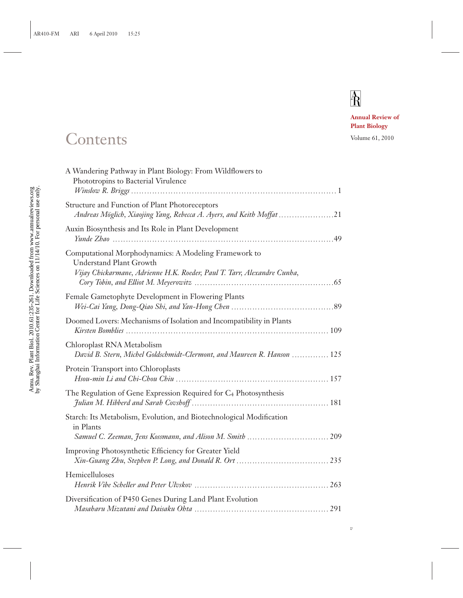# $\overline{R}$

*v*

**Annual Review of Plant Biology**

## Contents Volume 61, 2010

| A Wandering Pathway in Plant Biology: From Wildflowers to<br>Phototropins to Bacterial Virulence                                                                   |  |
|--------------------------------------------------------------------------------------------------------------------------------------------------------------------|--|
| Structure and Function of Plant Photoreceptors<br>Andreas Möglich, Xiaojing Yang, Rebecca A. Ayers, and Keith Moffat 21                                            |  |
| Auxin Biosynthesis and Its Role in Plant Development                                                                                                               |  |
| Computational Morphodynamics: A Modeling Framework to<br><b>Understand Plant Growth</b><br>Vijay Chickarmane, Adrienne H.K. Roeder, Paul T. Tarr, Alexandre Cunha, |  |
| Female Gametophyte Development in Flowering Plants                                                                                                                 |  |
| Doomed Lovers: Mechanisms of Isolation and Incompatibility in Plants                                                                                               |  |
| Chloroplast RNA Metabolism<br>David B. Stern, Michel Goldschmidt-Clermont, and Maureen R. Hanson  125                                                              |  |
| Protein Transport into Chloroplasts                                                                                                                                |  |
| The Regulation of Gene Expression Required for C <sub>4</sub> Photosynthesis                                                                                       |  |
| Starch: Its Metabolism, Evolution, and Biotechnological Modification<br>in Plants                                                                                  |  |
| Improving Photosynthetic Efficiency for Greater Yield                                                                                                              |  |
| Hemicelluloses                                                                                                                                                     |  |
| Diversification of P450 Genes During Land Plant Evolution                                                                                                          |  |
|                                                                                                                                                                    |  |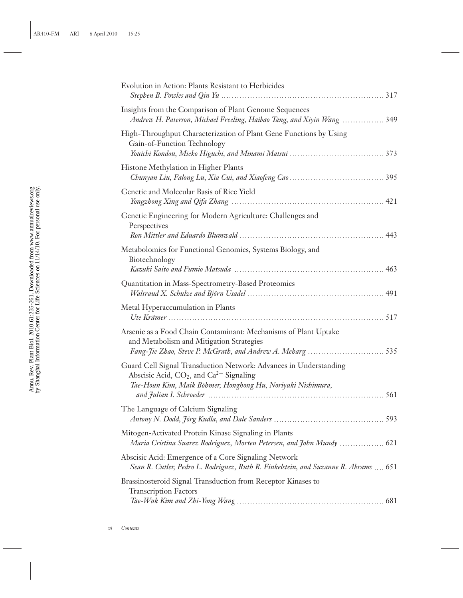| Evolution in Action: Plants Resistant to Herbicides                                                                                                                                 |
|-------------------------------------------------------------------------------------------------------------------------------------------------------------------------------------|
| Insights from the Comparison of Plant Genome Sequences<br>Andrew H. Paterson, Michael Freeling, Haibao Tang, and Xiyin Wang  349                                                    |
| High-Throughput Characterization of Plant Gene Functions by Using<br>Gain-of-Function Technology                                                                                    |
| Histone Methylation in Higher Plants                                                                                                                                                |
| Genetic and Molecular Basis of Rice Yield                                                                                                                                           |
| Genetic Engineering for Modern Agriculture: Challenges and<br>Perspectives                                                                                                          |
| Metabolomics for Functional Genomics, Systems Biology, and<br>Biotechnology                                                                                                         |
| Quantitation in Mass-Spectrometry-Based Proteomics                                                                                                                                  |
| Metal Hyperaccumulation in Plants                                                                                                                                                   |
| Arsenic as a Food Chain Contaminant: Mechanisms of Plant Uptake<br>and Metabolism and Mitigation Strategies                                                                         |
| Guard Cell Signal Transduction Network: Advances in Understanding<br>Abscisic Acid, $CO_2$ , and $Ca^{2+}$ Signaling<br>Tae-Houn Kim, Maik Böhmer, Honghong Hu, Noriyuki Nishimura, |
| The Language of Calcium Signaling<br>593                                                                                                                                            |
| Mitogen-Activated Protein Kinase Signaling in Plants<br>Maria Cristina Suarez Rodriguez, Morten Petersen, and John Mundy  621                                                       |
| Abscisic Acid: Emergence of a Core Signaling Network<br>Sean R. Cutler, Pedro L. Rodriguez, Ruth R. Finkelstein, and Suzanne R. Abrams  651                                         |
| Brassinosteroid Signal Transduction from Receptor Kinases to<br><b>Transcription Factors</b>                                                                                        |